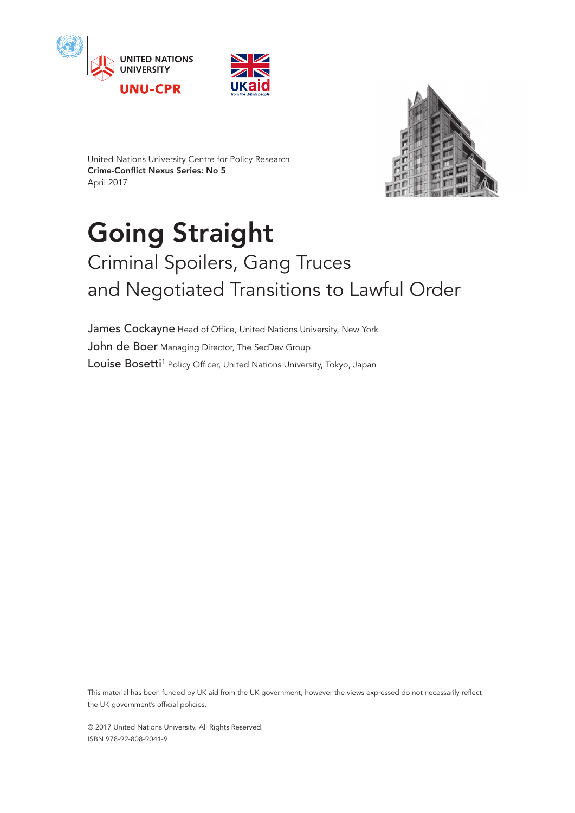





United Nations University Centre for Policy Research Crime-Conflict Nexus Series: No 5 April 2017

# Going Straight Criminal Spoilers, Gang Truces and Negotiated Transitions to Lawful Order

James Cockayne Head of Office, United Nations University, New York John de Boer Managing Director, The SecDev Group Louise Bosetti<sup>[1](#page-20-0)</sup> Policy Officer, United Nations University, Tokyo, Japan

This material has been funded by UK aid from the UK government; however the views expressed do not necessarily reflect the UK government's official policies.

© 2017 United Nations University. All Rights Reserved. ISBN 978-92-808-9041-9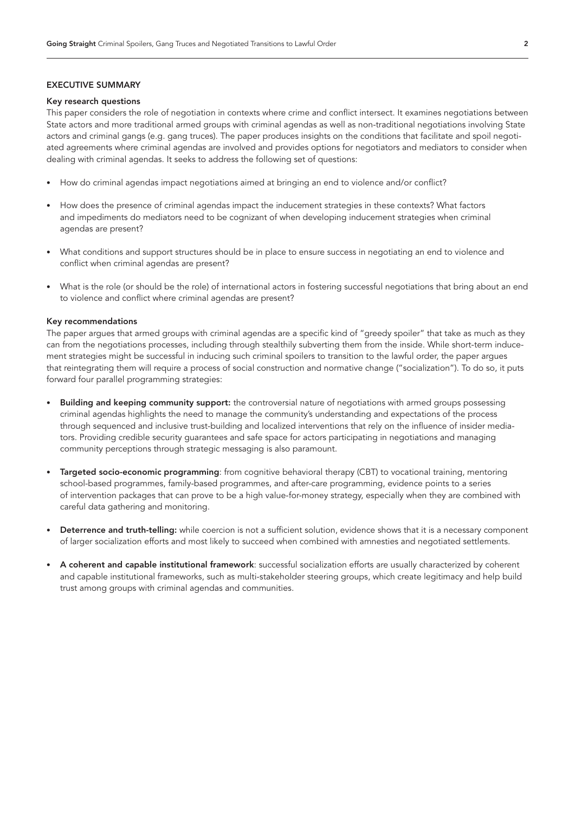# EXECUTIVE SUMMARY

#### Key research questions

This paper considers the role of negotiation in contexts where crime and conflict intersect. It examines negotiations between State actors and more traditional armed groups with criminal agendas as well as non-traditional negotiations involving State actors and criminal gangs (e.g. gang truces). The paper produces insights on the conditions that facilitate and spoil negotiated agreements where criminal agendas are involved and provides options for negotiators and mediators to consider when dealing with criminal agendas. It seeks to address the following set of questions:

- How do criminal agendas impact negotiations aimed at bringing an end to violence and/or conflict?
- How does the presence of criminal agendas impact the inducement strategies in these contexts? What factors and impediments do mediators need to be cognizant of when developing inducement strategies when criminal agendas are present?
- What conditions and support structures should be in place to ensure success in negotiating an end to violence and conflict when criminal agendas are present?
- What is the role (or should be the role) of international actors in fostering successful negotiations that bring about an end to violence and conflict where criminal agendas are present?

#### Key recommendations

The paper argues that armed groups with criminal agendas are a specific kind of "greedy spoiler" that take as much as they can from the negotiations processes, including through stealthily subverting them from the inside. While short-term inducement strategies might be successful in inducing such criminal spoilers to transition to the lawful order, the paper argues that reintegrating them will require a process of social construction and normative change ("socialization"). To do so, it puts forward four parallel programming strategies:

- **Building and keeping community support:** the controversial nature of negotiations with armed groups possessing criminal agendas highlights the need to manage the community's understanding and expectations of the process through sequenced and inclusive trust-building and localized interventions that rely on the influence of insider mediators. Providing credible security guarantees and safe space for actors participating in negotiations and managing community perceptions through strategic messaging is also paramount.
- Targeted socio-economic programming: from cognitive behavioral therapy (CBT) to vocational training, mentoring school-based programmes, family-based programmes, and after-care programming, evidence points to a series of intervention packages that can prove to be a high value-for-money strategy, especially when they are combined with careful data gathering and monitoring.
- Deterrence and truth-telling: while coercion is not a sufficient solution, evidence shows that it is a necessary component of larger socialization efforts and most likely to succeed when combined with amnesties and negotiated settlements.
- A coherent and capable institutional framework: successful socialization efforts are usually characterized by coherent and capable institutional frameworks, such as multi-stakeholder steering groups, which create legitimacy and help build trust among groups with criminal agendas and communities.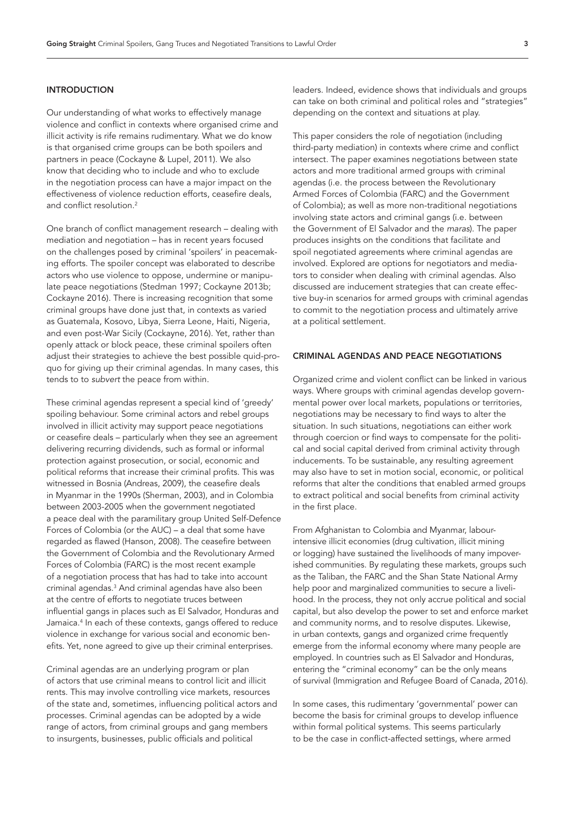### INTRODUCTION

Our understanding of what works to effectively manage violence and conflict in contexts where organised crime and illicit activity is rife remains rudimentary. What we do know is that organised crime groups can be both spoilers and partners in peace (Cockayne & Lupel, 2011). We also know that deciding who to include and who to exclude in the negotiation process can have a major impact on the effectiveness of violence reduction efforts, ceasefire deals, and conflict resolution.<sup>[2](#page-20-1)</sup>

One branch of conflict management research – dealing with mediation and negotiation – has in recent years focused on the challenges posed by criminal 'spoilers' in peacemaking efforts. The spoiler concept was elaborated to describe actors who use violence to oppose, undermine or manipulate peace negotiations (Stedman 1997; Cockayne 2013b; Cockayne 2016). There is increasing recognition that some criminal groups have done just that, in contexts as varied as Guatemala, Kosovo, Libya, Sierra Leone, Haiti, Nigeria, and even post-War Sicily (Cockayne, 2016). Yet, rather than openly attack or block peace, these criminal spoilers often adjust their strategies to achieve the best possible quid-proquo for giving up their criminal agendas. In many cases, this tends to to *subvert* the peace from within.

These criminal agendas represent a special kind of 'greedy' spoiling behaviour. Some criminal actors and rebel groups involved in illicit activity may support peace negotiations or ceasefire deals – particularly when they see an agreement delivering recurring dividends, such as formal or informal protection against prosecution, or social, economic and political reforms that increase their criminal profits. This was witnessed in Bosnia (Andreas, 2009), the ceasefire deals in Myanmar in the 1990s (Sherman, 2003), and in Colombia between 2003-2005 when the government negotiated a peace deal with the paramilitary group United Self-Defence Forces of Colombia (or the AUC) – a deal that some have regarded as flawed (Hanson, 2008). The ceasefire between the Government of Colombia and the Revolutionary Armed Forces of Colombia (FARC) is the most recent example of a negotiation process that has had to take into account criminal agendas.[3](#page-20-2) And criminal agendas have also been at the centre of efforts to negotiate truces between influential gangs in places such as El Salvador, Honduras and Jamaica.[4](#page-20-3) In each of these contexts, gangs offered to reduce violence in exchange for various social and economic benefits. Yet, none agreed to give up their criminal enterprises.

Criminal agendas are an underlying program or plan of actors that use criminal means to control licit and illicit rents. This may involve controlling vice markets, resources of the state and, sometimes, influencing political actors and processes. Criminal agendas can be adopted by a wide range of actors, from criminal groups and gang members to insurgents, businesses, public officials and political

leaders. Indeed, evidence shows that individuals and groups can take on both criminal and political roles and "strategies" depending on the context and situations at play.

This paper considers the role of negotiation (including third-party mediation) in contexts where crime and conflict intersect. The paper examines negotiations between state actors and more traditional armed groups with criminal agendas (i.e. the process between the Revolutionary Armed Forces of Colombia (FARC) and the Government of Colombia); as well as more non-traditional negotiations involving state actors and criminal gangs (i.e. between the Government of El Salvador and the *maras*). The paper produces insights on the conditions that facilitate and spoil negotiated agreements where criminal agendas are involved. Explored are options for negotiators and mediators to consider when dealing with criminal agendas. Also discussed are inducement strategies that can create effective buy-in scenarios for armed groups with criminal agendas to commit to the negotiation process and ultimately arrive at a political settlement.

# CRIMINAL AGENDAS AND PEACE NEGOTIATIONS

Organized crime and violent conflict can be linked in various ways. Where groups with criminal agendas develop governmental power over local markets, populations or territories, negotiations may be necessary to find ways to alter the situation. In such situations, negotiations can either work through coercion or find ways to compensate for the political and social capital derived from criminal activity through inducements. To be sustainable, any resulting agreement may also have to set in motion social, economic, or political reforms that alter the conditions that enabled armed groups to extract political and social benefits from criminal activity in the first place.

From Afghanistan to Colombia and Myanmar, labourintensive illicit economies (drug cultivation, illicit mining or logging) have sustained the livelihoods of many impoverished communities. By regulating these markets, groups such as the Taliban, the FARC and the Shan State National Army help poor and marginalized communities to secure a livelihood. In the process, they not only accrue political and social capital, but also develop the power to set and enforce market and community norms, and to resolve disputes. Likewise, in urban contexts, gangs and organized crime frequently emerge from the informal economy where many people are employed. In countries such as El Salvador and Honduras, entering the "criminal economy" can be the only means of survival (Immigration and Refugee Board of Canada, 2016).

In some cases, this rudimentary 'governmental' power can become the basis for criminal groups to develop influence within formal political systems. This seems particularly to be the case in conflict-affected settings, where armed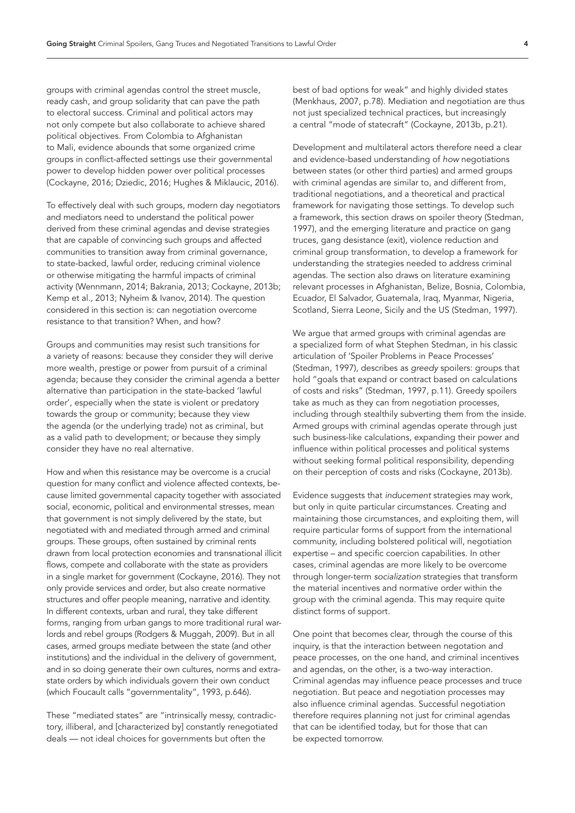groups with criminal agendas control the street muscle, ready cash, and group solidarity that can pave the path to electoral success. Criminal and political actors may not only compete but also collaborate to achieve shared political objectives. From Colombia to Afghanistan to Mali, evidence abounds that some organized crime groups in conflict-affected settings use their governmental power to develop hidden power over political processes (Cockayne, 2016; Dziedic, 2016; Hughes & Miklaucic, 2016).

To effectively deal with such groups, modern day negotiators and mediators need to understand the political power derived from these criminal agendas and devise strategies that are capable of convincing such groups and affected communities to transition away from criminal governance, to state-backed, lawful order, reducing criminal violence or otherwise mitigating the harmful impacts of criminal activity (Wennmann, 2014; Bakrania, 2013; Cockayne, 2013b; Kemp et al., 2013; Nyheim & Ivanov, 2014). The question considered in this section is: can negotiation overcome resistance to that transition? When, and how?

Groups and communities may resist such transitions for a variety of reasons: because they consider they will derive more wealth, prestige or power from pursuit of a criminal agenda; because they consider the criminal agenda a better alternative than participation in the state-backed 'lawful order', especially when the state is violent or predatory towards the group or community; because they view the agenda (or the underlying trade) not as criminal, but as a valid path to development; or because they simply consider they have no real alternative.

How and when this resistance may be overcome is a crucial question for many conflict and violence affected contexts, because limited governmental capacity together with associated social, economic, political and environmental stresses, mean that government is not simply delivered by the state, but negotiated with and mediated through armed and criminal groups. These groups, often sustained by criminal rents drawn from local protection economies and transnational illicit flows, compete and collaborate with the state as providers in a single market for government (Cockayne, 2016). They not only provide services and order, but also create normative structures and offer people meaning, narrative and identity. In different contexts, urban and rural, they take different forms, ranging from urban gangs to more traditional rural warlords and rebel groups (Rodgers & Muggah, 2009). But in all cases, armed groups mediate between the state (and other institutions) and the individual in the delivery of government, and in so doing generate their own cultures, norms and extrastate orders by which individuals govern their own conduct (which Foucault calls "governmentality", 1993, p.646).

These "mediated states" are "intrinsically messy, contradictory, illiberal, and [characterized by] constantly renegotiated deals — not ideal choices for governments but often the

best of bad options for weak" and highly divided states (Menkhaus, 2007, p.78). Mediation and negotiation are thus not just specialized technical practices, but increasingly a central "mode of statecraft" (Cockayne, 2013b, p.21).

Development and multilateral actors therefore need a clear and evidence-based understanding of *how* negotiations between states (or other third parties) and armed groups with criminal agendas are similar to, and different from, traditional negotiations, and a theoretical and practical framework for navigating those settings. To develop such a framework, this section draws on spoiler theory (Stedman, 1997), and the emerging literature and practice on gang truces, gang desistance (exit), violence reduction and criminal group transformation, to develop a framework for understanding the strategies needed to address criminal agendas. The section also draws on literature examining relevant processes in Afghanistan, Belize, Bosnia, Colombia, Ecuador, El Salvador, Guatemala, Iraq, Myanmar, Nigeria, Scotland, Sierra Leone, Sicily and the US (Stedman, 1997).

We argue that armed groups with criminal agendas are a specialized form of what Stephen Stedman, in his classic articulation of 'Spoiler Problems in Peace Processes' (Stedman, 1997), describes as *greedy* spoilers: groups that hold "goals that expand or contract based on calculations of costs and risks" (Stedman, 1997, p.11). Greedy spoilers take as much as they can from negotiation processes, including through stealthily subverting them from the inside. Armed groups with criminal agendas operate through just such business-like calculations, expanding their power and influence within political processes and political systems without seeking formal political responsibility, depending on their perception of costs and risks (Cockayne, 2013b).

Evidence suggests that *inducement* strategies may work, but only in quite particular circumstances. Creating and maintaining those circumstances, and exploiting them, will require particular forms of support from the international community, including bolstered political will, negotiation expertise – and specific coercion capabilities. In other cases, criminal agendas are more likely to be overcome through longer-term *socialization* strategies that transform the material incentives and normative order within the group with the criminal agenda. This may require quite distinct forms of support.

One point that becomes clear, through the course of this inquiry, is that the interaction between negotation and peace processes, on the one hand, and criminal incentives and agendas, on the other, is a two-way interaction. Criminal agendas may influence peace processes and truce negotiation. But peace and negotiation processes may also influence criminal agendas. Successful negotiation therefore requires planning not just for criminal agendas that can be identified today, but for those that can be expected tomorrow.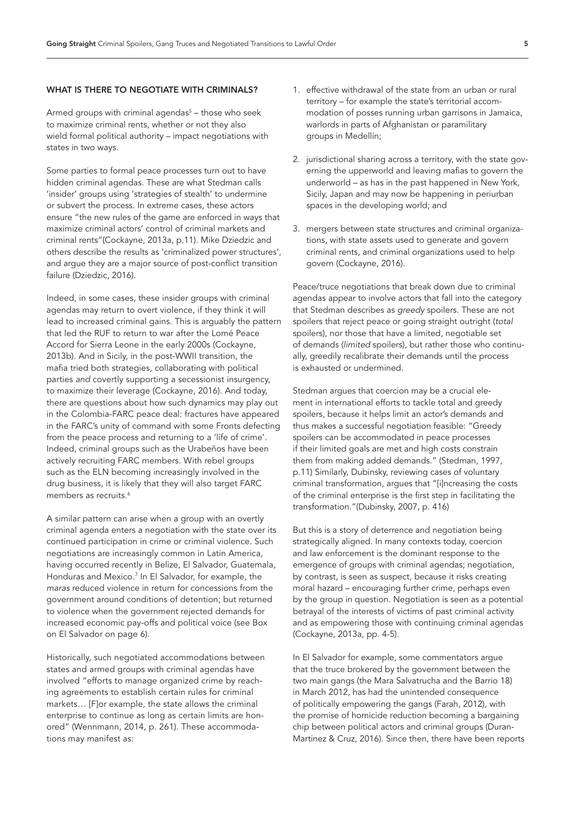#### WHAT IS THERE TO NEGOTIATE WITH CRIMINALS?

Armed groups with criminal agendas<sup>[5](#page-20-4)</sup> – those who seek to maximize criminal rents, whether or not they also wield formal political authority – impact negotiations with states in two ways.

Some parties to formal peace processes turn out to have hidden criminal agendas. These are what Stedman calls 'insider' groups using 'strategies of stealth' to undermine or subvert the process. In extreme cases, these actors ensure "the new rules of the game are enforced in ways that maximize criminal actors' control of criminal markets and criminal rents"(Cockayne, 2013a, p.11). Mike Dziedzic and others describe the results as 'criminalized power structures', and argue they are a major source of post-conflict transition failure (Dziedzic, 2016).

Indeed, in some cases, these insider groups with criminal agendas may return to overt violence, if they think it will lead to increased criminal gains. This is arguably the pattern that led the RUF to return to war after the Lomé Peace Accord for Sierra Leone in the early 2000s (Cockayne, 2013b). And in Sicily, in the post-WWII transition, the mafia tried both strategies, collaborating with political parties *and* covertly supporting a secessionist insurgency, to maximize their leverage (Cockayne, 2016). And today, there are questions about how such dynamics may play out in the Colombia-FARC peace deal: fractures have appeared in the FARC's unity of command with some Fronts defecting from the peace process and returning to a 'life of crime'. Indeed, criminal groups such as the Urabeños have been actively recruiting FARC members. With rebel groups such as the ELN becoming increasingly involved in the drug business, it is likely that they will also target FARC members as recruits.<sup>[6](#page-20-5)</sup>

A similar pattern can arise when a group with an overtly criminal agenda enters a negotiation with the state over its continued participation in crime or criminal violence. Such negotiations are increasingly common in Latin America, having occurred recently in Belize, El Salvador, Guatemala, Honduras and Mexico.<sup>[7](#page-20-6)</sup> In El Salvador, for example, the *maras* reduced violence in return for concessions from the government around conditions of detention; but returned to violence when the government rejected demands for increased economic pay-offs and political voice (see Box on El Salvador on page 6).

Historically, such negotiated accommodations between states and armed groups with criminal agendas have involved "efforts to manage organized crime by reaching agreements to establish certain rules for criminal markets… [F]or example, the state allows the criminal enterprise to continue as long as certain limits are honored" (Wennmann, 2014, p. 261). These accommodations may manifest as:

- 1. effective withdrawal of the state from an urban or rural territory – for example the state's territorial accommodation of posses running urban garrisons in Jamaica, warlords in parts of Afghanistan or paramilitary groups in Medellín;
- 2. jurisdictional sharing across a territory, with the state governing the upperworld and leaving mafias to govern the underworld – as has in the past happened in New York, Sicily, Japan and may now be happening in periurban spaces in the developing world; and
- 3. mergers between state structures and criminal organizations, with state assets used to generate and govern criminal rents, and criminal organizations used to help govern (Cockayne, 2016).

Peace/truce negotiations that break down due to criminal agendas appear to involve actors that fall into the category that Stedman describes as *greedy* spoilers. These are not spoilers that reject peace or going straight outright (*total*  spoilers), nor those that have a limited, negotiable set of demands (*limited* spoilers), but rather those who continually, greedily recalibrate their demands until the process is exhausted or undermined.

Stedman argues that coercion may be a crucial element in international efforts to tackle total and greedy spoilers, because it helps limit an actor's demands and thus makes a successful negotiation feasible: "Greedy spoilers can be accommodated in peace processes if their limited goals are met and high costs constrain them from making added demands." (Stedman, 1997, p.11) Similarly, Dubinsky, reviewing cases of voluntary criminal transformation, argues that "[i]ncreasing the costs of the criminal enterprise is the first step in facilitating the transformation."(Dubinsky, 2007, p. 416)

But this is a story of deterrence and negotiation being strategically aligned. In many contexts today, coercion and law enforcement is the dominant response to the emergence of groups with criminal agendas; negotiation, by contrast, is seen as suspect, because it risks creating moral hazard – encouraging further crime, perhaps even by the group in question. Negotiation is seen as a potential betrayal of the interests of victims of past criminal activity and as empowering those with continuing criminal agendas (Cockayne, 2013a, pp. 4-5).

In El Salvador for example, some commentators argue that the truce brokered by the government between the two main gangs (the Mara Salvatrucha and the Barrio 18) in March 2012, has had the unintended consequence of politically empowering the gangs (Farah, 2012), with the promise of homicide reduction becoming a bargaining chip between political actors and criminal groups (Duran-Martinez & Cruz, 2016). Since then, there have been reports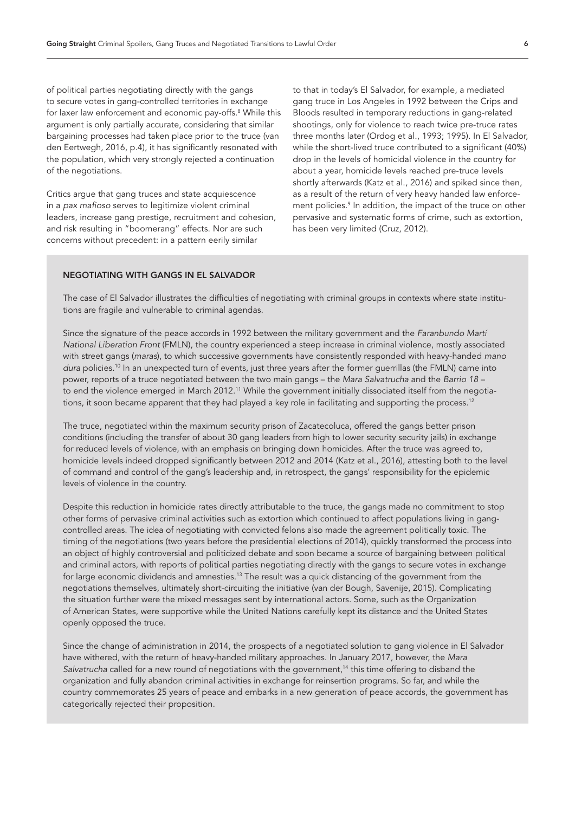of political parties negotiating directly with the gangs to secure votes in gang-controlled territories in exchange for laxer law enforcement and economic pay-offs[.8](#page-20-7) While this argument is only partially accurate, considering that similar bargaining processes had taken place prior to the truce (van den Eertwegh, 2016, p.4), it has significantly resonated with the population, which very strongly rejected a continuation of the negotiations.

Critics argue that gang truces and state acquiescence in a *pax mafioso* serves to legitimize violent criminal leaders, increase gang prestige, recruitment and cohesion, and risk resulting in "boomerang" effects. Nor are such concerns without precedent: in a pattern eerily similar

to that in today's El Salvador, for example, a mediated gang truce in Los Angeles in 1992 between the Crips and Bloods resulted in temporary reductions in gang-related shootings, only for violence to reach twice pre-truce rates three months later (Ordog et al., 1993; 1995). In El Salvador, while the short-lived truce contributed to a significant (40%) drop in the levels of homicidal violence in the country for about a year, homicide levels reached pre-truce levels shortly afterwards (Katz et al., 2016) and spiked since then, as a result of the return of very heavy handed law enforcement policies[.9](#page-20-8) In addition, the impact of the truce on other pervasive and systematic forms of crime, such as extortion, has been very limited (Cruz, 2012).

# NEGOTIATING WITH GANGS IN EL SALVADOR

The case of El Salvador illustrates the difficulties of negotiating with criminal groups in contexts where state institutions are fragile and vulnerable to criminal agendas.

Since the signature of the peace accords in 1992 between the military government and the *Faranbundo Martí National Liberation Front* (FMLN), the country experienced a steep increase in criminal violence, mostly associated with street gangs (*maras*), to which successive governments have consistently responded with heavy-handed *mano dura* policies.[10](#page-20-9) In an unexpected turn of events, just three years after the former guerrillas (the FMLN) came into power, reports of a truce negotiated between the two main gangs – the *Mara Salvatrucha* and the *Barrio 18* – to end the violence emerged in March 2012.<sup>11</sup> While the government initially dissociated itself from the negotiations, it soon became apparent that they had played a key role in facilitating and supporting the process.<sup>12</sup>

The truce, negotiated within the maximum security prison of Zacatecoluca, offered the gangs better prison conditions (including the transfer of about 30 gang leaders from high to lower security security jails) in exchange for reduced levels of violence, with an emphasis on bringing down homicides. After the truce was agreed to, homicide levels indeed dropped significantly between 2012 and 2014 (Katz et al., 2016), attesting both to the level of command and control of the gang's leadership and, in retrospect, the gangs' responsibility for the epidemic levels of violence in the country.

Despite this reduction in homicide rates directly attributable to the truce, the gangs made no commitment to stop other forms of pervasive criminal activities such as extortion which continued to affect populations living in gangcontrolled areas. The idea of negotiating with convicted felons also made the agreement politically toxic. The timing of the negotiations (two years before the presidential elections of 2014), quickly transformed the process into an object of highly controversial and politicized debate and soon became a source of bargaining between political and criminal actors, with reports of political parties negotiating directly with the gangs to secure votes in exchange for large economic dividends and amnesties.[13](#page-20-12) The result was a quick distancing of the government from the negotiations themselves, ultimately short-circuiting the initiative (van der Bough, Savenije, 2015). Complicating the situation further were the mixed messages sent by international actors. Some, such as the Organization of American States, were supportive while the United Nations carefully kept its distance and the United States openly opposed the truce.

Since the change of administration in 2014, the prospects of a negotiated solution to gang violence in El Salvador have withered, with the return of heavy-handed military approaches. In January 2017, however, the *Mara*  Salvatrucha called for a new round of negotiations with the government,<sup>14</sup> this time offering to disband the organization and fully abandon criminal activities in exchange for reinsertion programs. So far, and while the country commemorates 25 years of peace and embarks in a new generation of peace accords, the government has categorically rejected their proposition.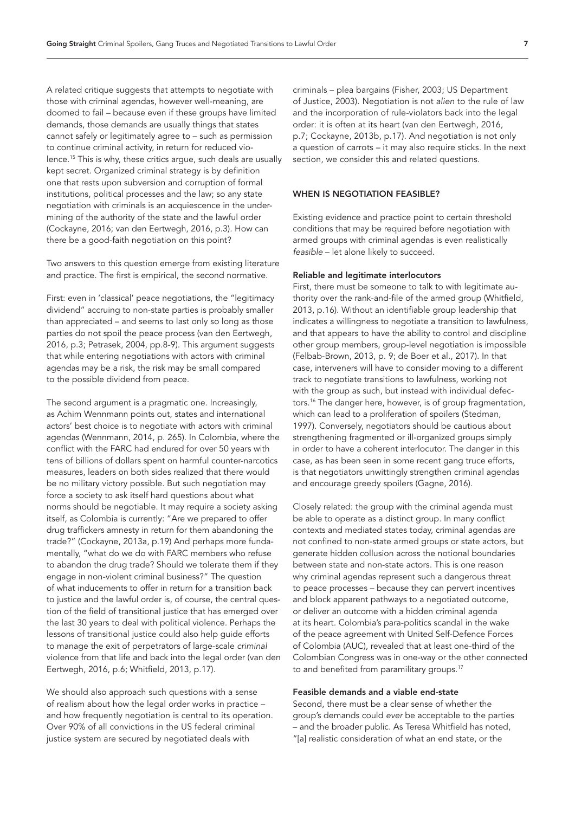A related critique suggests that attempts to negotiate with those with criminal agendas, however well-meaning, are doomed to fail – because even if these groups have limited demands, those demands are usually things that states cannot safely or legitimately agree to – such as permission to continue criminal activity, in return for reduced violence[.15](#page-20-14) This is why, these critics argue, such deals are usually kept secret. Organized criminal strategy is by definition one that rests upon subversion and corruption of formal institutions, political processes and the law; so any state negotiation with criminals is an acquiescence in the undermining of the authority of the state and the lawful order (Cockayne, 2016; van den Eertwegh, 2016, p.3). How can there be a good-faith negotiation on this point?

Two answers to this question emerge from existing literature and practice. The first is empirical, the second normative.

First: even in 'classical' peace negotiations, the "legitimacy dividend" accruing to non-state parties is probably smaller than appreciated – and seems to last only so long as those parties do not spoil the peace process (van den Eertwegh, 2016, p.3; Petrasek, 2004, pp.8-9). This argument suggests that while entering negotiations with actors with criminal agendas may be a risk, the risk may be small compared to the possible dividend from peace.

The second argument is a pragmatic one. Increasingly, as Achim Wennmann points out, states and international actors' best choice is to negotiate with actors with criminal agendas (Wennmann, 2014, p. 265). In Colombia, where the conflict with the FARC had endured for over 50 years with tens of billions of dollars spent on harmful counter-narcotics measures, leaders on both sides realized that there would be no military victory possible. But such negotiation may force a society to ask itself hard questions about what norms should be negotiable. It may require a society asking itself, as Colombia is currently: "Are we prepared to offer drug traffickers amnesty in return for them abandoning the trade?" (Cockayne, 2013a, p.19) And perhaps more fundamentally, "what do we do with FARC members who refuse to abandon the drug trade? Should we tolerate them if they engage in non-violent criminal business?" The question of what inducements to offer in return for a transition back to justice and the lawful order is, of course, the central question of the field of transitional justice that has emerged over the last 30 years to deal with political violence. Perhaps the lessons of transitional justice could also help guide efforts to manage the exit of perpetrators of large-scale *criminal*  violence from that life and back into the legal order (van den Eertwegh, 2016, p.6; Whitfield, 2013, p.17).

We should also approach such questions with a sense of realism about how the legal order works in practice – and how frequently negotiation is central to its operation. Over 90% of all convictions in the US federal criminal justice system are secured by negotiated deals with

criminals – plea bargains (Fisher, 2003; US Department of Justice, 2003). Negotiation is not *alien* to the rule of law and the incorporation of rule-violators back into the legal order: it is often at its heart (van den Eertwegh, 2016, p.7; Cockayne, 2013b, p.17). And negotiation is not only a question of carrots – it may also require sticks. In the next section, we consider this and related questions.

# WHEN IS NEGOTIATION FEASIBLE?

Existing evidence and practice point to certain threshold conditions that may be required before negotiation with armed groups with criminal agendas is even realistically *feasible* – let alone likely to succeed.

### Reliable and legitimate interlocutors

First, there must be someone to talk to with legitimate authority over the rank-and-file of the armed group (Whitfield, 2013, p.16). Without an identifiable group leadership that indicates a willingness to negotiate a transition to lawfulness, and that appears to have the ability to control and discipline other group members, group-level negotiation is impossible (Felbab-Brown, 2013, p. 9; de Boer et al., 2017). In that case, interveners will have to consider moving to a different track to negotiate transitions to lawfulness, working not with the group as such, but instead with individual defectors.[16](#page-20-15) The danger here, however, is of group fragmentation, which can lead to a proliferation of spoilers (Stedman, 1997). Conversely, negotiators should be cautious about strengthening fragmented or ill-organized groups simply in order to have a coherent interlocutor. The danger in this case, as has been seen in some recent gang truce efforts, is that negotiators unwittingly strengthen criminal agendas and encourage greedy spoilers (Gagne, 2016).

Closely related: the group with the criminal agenda must be able to operate as a distinct group. In many conflict contexts and mediated states today, criminal agendas are not confined to non-state armed groups or state actors, but generate hidden collusion across the notional boundaries between state and non-state actors. This is one reason why criminal agendas represent such a dangerous threat to peace processes – because they can pervert incentives and block apparent pathways to a negotiated outcome, or deliver an outcome with a hidden criminal agenda at its heart. Colombia's para-politics scandal in the wake of the peace agreement with United Self-Defence Forces of Colombia (AUC), revealed that at least one-third of the Colombian Congress was in one-way or the other connected to and benefited from paramilitary groups.<sup>17</sup>

# Feasible demands and a viable end-state

Second, there must be a clear sense of whether the group's demands could *ever* be acceptable to the parties – and the broader public. As Teresa Whitfield has noted, "[a] realistic consideration of what an end state, or the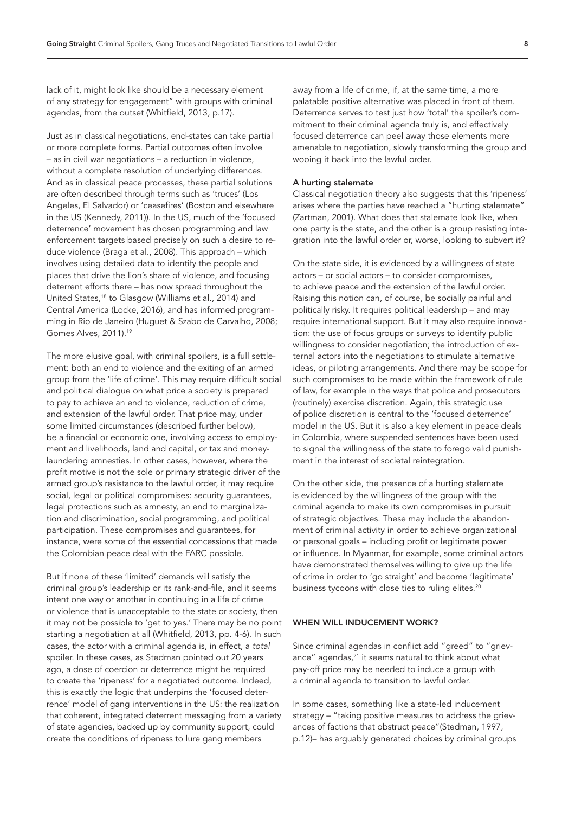lack of it, might look like should be a necessary element of any strategy for engagement" with groups with criminal agendas, from the outset (Whitfield, 2013, p.17).

Just as in classical negotiations, end-states can take partial or more complete forms. Partial outcomes often involve – as in civil war negotiations – a reduction in violence, without a complete resolution of underlying differences. And as in classical peace processes, these partial solutions are often described through terms such as 'truces' (Los Angeles, El Salvador) or 'ceasefires' (Boston and elsewhere in the US (Kennedy, 2011)). In the US, much of the 'focused deterrence' movement has chosen programming and law enforcement targets based precisely on such a desire to reduce violence (Braga et al., 2008). This approach – which involves using detailed data to identify the people and places that drive the lion's share of violence, and focusing deterrent efforts there – has now spread throughout the United States,[18](#page-20-17) to Glasgow (Williams et al., 2014) and Central America (Locke, 2016), and has informed programming in Rio de Janeiro (Huguet & Szabo de Carvalho, 2008; Gomes Alves, 2011).[19](#page-20-18)

The more elusive goal, with criminal spoilers, is a full settlement: both an end to violence and the exiting of an armed group from the 'life of crime'. This may require difficult social and political dialogue on what price a society is prepared to pay to achieve an end to violence, reduction of crime, and extension of the lawful order. That price may, under some limited circumstances (described further below), be a financial or economic one, involving access to employment and livelihoods, land and capital, or tax and moneylaundering amnesties. In other cases, however, where the profit motive is not the sole or primary strategic driver of the armed group's resistance to the lawful order, it may require social, legal or political compromises: security guarantees, legal protections such as amnesty, an end to marginalization and discrimination, social programming, and political participation. These compromises and guarantees, for instance, were some of the essential concessions that made the Colombian peace deal with the FARC possible.

But if none of these 'limited' demands will satisfy the criminal group's leadership or its rank-and-file, and it seems intent one way or another in continuing in a life of crime or violence that is unacceptable to the state or society, then it may not be possible to 'get to yes.' There may be no point starting a negotiation at all (Whitfield, 2013, pp. 4-6). In such cases, the actor with a criminal agenda is, in effect, a *total*  spoiler. In these cases, as Stedman pointed out 20 years ago, a dose of coercion or deterrence might be required to create the 'ripeness' for a negotiated outcome. Indeed, this is exactly the logic that underpins the 'focused deterrence' model of gang interventions in the US: the realization that coherent, integrated deterrent messaging from a variety of state agencies, backed up by community support, could create the conditions of ripeness to lure gang members

away from a life of crime, if, at the same time, a more palatable positive alternative was placed in front of them. Deterrence serves to test just how 'total' the spoiler's commitment to their criminal agenda truly is, and effectively focused deterrence can peel away those elements more amenable to negotiation, slowly transforming the group and wooing it back into the lawful order.

#### A hurting stalemate

Classical negotiation theory also suggests that this 'ripeness' arises where the parties have reached a "hurting stalemate" (Zartman, 2001). What does that stalemate look like, when one party is the state, and the other is a group resisting integration into the lawful order or, worse, looking to subvert it?

On the state side, it is evidenced by a willingness of state actors – or social actors – to consider compromises, to achieve peace and the extension of the lawful order. Raising this notion can, of course, be socially painful and politically risky. It requires political leadership – and may require international support. But it may also require innovation: the use of focus groups or surveys to identify public willingness to consider negotiation; the introduction of external actors into the negotiations to stimulate alternative ideas, or piloting arrangements. And there may be scope for such compromises to be made within the framework of rule of law, for example in the ways that police and prosecutors (routinely) exercise discretion. Again, this strategic use of police discretion is central to the 'focused deterrence' model in the US. But it is also a key element in peace deals in Colombia, where suspended sentences have been used to signal the willingness of the state to forego valid punishment in the interest of societal reintegration.

On the other side, the presence of a hurting stalemate is evidenced by the willingness of the group with the criminal agenda to make its own compromises in pursuit of strategic objectives. These may include the abandonment of criminal activity in order to achieve organizational or personal goals – including profit or legitimate power or influence. In Myanmar, for example, some criminal actors have demonstrated themselves willing to give up the life of crime in order to 'go straight' and become 'legitimate' business tycoons with close ties to ruling elites.<sup>20</sup>

# WHEN WILL INDUCEMENT WORK?

Since criminal agendas in conflict add "greed" to "grievance" agendas, $21$  it seems natural to think about what pay-off price may be needed to induce a group with a criminal agenda to transition to lawful order.

In some cases, something like a state-led inducement strategy – "taking positive measures to address the grievances of factions that obstruct peace"(Stedman, 1997, p.12)– has arguably generated choices by criminal groups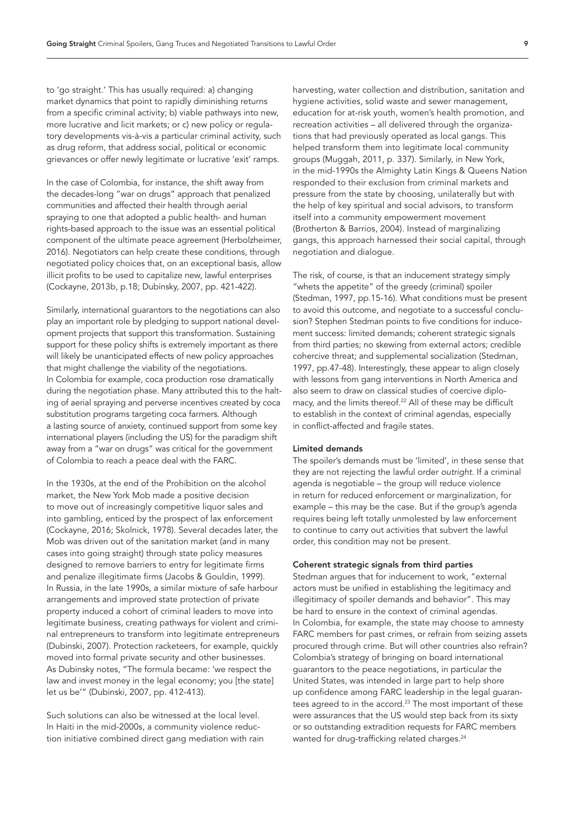to 'go straight.' This has usually required: a) changing market dynamics that point to rapidly diminishing returns from a specific criminal activity; b) viable pathways into new, more lucrative and licit markets; or c) new policy or regulatory developments vis-à-vis a particular criminal activity, such as drug reform, that address social, political or economic grievances or offer newly legitimate or lucrative 'exit' ramps.

In the case of Colombia, for instance, the shift away from the decades-long "war on drugs" approach that penalized communities and affected their health through aerial spraying to one that adopted a public health- and human rights-based approach to the issue was an essential political component of the ultimate peace agreement (Herbolzheimer, 2016). Negotiators can help create these conditions, through negotiated policy choices that, on an exceptional basis, allow illicit profits to be used to capitalize new, lawful enterprises (Cockayne, 2013b, p.18; Dubinsky, 2007, pp. 421-422).

Similarly, international guarantors to the negotiations can also play an important role by pledging to support national development projects that support this transformation. Sustaining support for these policy shifts is extremely important as there will likely be unanticipated effects of new policy approaches that might challenge the viability of the negotiations. In Colombia for example, coca production rose dramatically during the negotiation phase. Many attributed this to the halting of aerial spraying and perverse incentives created by coca substitution programs targeting coca farmers. Although a lasting source of anxiety, continued support from some key international players (including the US) for the paradigm shift away from a "war on drugs" was critical for the government of Colombia to reach a peace deal with the FARC.

In the 1930s, at the end of the Prohibition on the alcohol market, the New York Mob made a positive decision to move out of increasingly competitive liquor sales and into gambling, enticed by the prospect of lax enforcement (Cockayne, 2016; Skolnick, 1978). Several decades later, the Mob was driven out of the sanitation market (and in many cases into going straight) through state policy measures designed to remove barriers to entry for legitimate firms and penalize illegitimate firms (Jacobs & Gouldin, 1999). In Russia, in the late 1990s, a similar mixture of safe harbour arrangements and improved state protection of private property induced a cohort of criminal leaders to move into legitimate business, creating pathways for violent and criminal entrepreneurs to transform into legitimate entrepreneurs (Dubinski, 2007). Protection racketeers, for example, quickly moved into formal private security and other businesses. As Dubinsky notes, "The formula became: 'we respect the law and invest money in the legal economy; you [the state] let us be'" (Dubinski, 2007, pp. 412-413).

Such solutions can also be witnessed at the local level. In Haiti in the mid-2000s, a community violence reduction initiative combined direct gang mediation with rain harvesting, water collection and distribution, sanitation and hygiene activities, solid waste and sewer management, education for at-risk youth, women's health promotion, and recreation activities – all delivered through the organizations that had previously operated as local gangs. This helped transform them into legitimate local community groups (Muggah, 2011, p. 337). Similarly, in New York, in the mid-1990s the Almighty Latin Kings & Queens Nation responded to their exclusion from criminal markets and pressure from the state by choosing, unilaterally but with the help of key spiritual and social advisors, to transform itself into a community empowerment movement (Brotherton & Barrios, 2004). Instead of marginalizing gangs, this approach harnessed their social capital, through negotiation and dialogue.

The risk, of course, is that an inducement strategy simply "whets the appetite" of the greedy (criminal) spoiler (Stedman, 1997, pp.15-16). What conditions must be present to avoid this outcome, and negotiate to a successful conclusion? Stephen Stedman points to five conditions for inducement success: limited demands; coherent strategic signals from third parties; no skewing from external actors; credible cohercive threat; and supplemental socialization (Stedman, 1997, pp.47-48). Interestingly, these appear to align closely with lessons from gang interventions in North America and also seem to draw on classical studies of coercive diplomacy, and the limits thereof.<sup>22</sup> All of these may be difficult to establish in the context of criminal agendas, especially in conflict-affected and fragile states.

#### Limited demands

The spoiler's demands must be 'limited', in these sense that they are not rejecting the lawful order *outright*. If a criminal agenda is negotiable – the group will reduce violence in return for reduced enforcement or marginalization, for example – this may be the case. But if the group's agenda requires being left totally unmolested by law enforcement to continue to carry out activities that subvert the lawful order, this condition may not be present.

#### Coherent strategic signals from third parties

Stedman argues that for inducement to work, "external actors must be unified in establishing the legitimacy and illegitimacy of spoiler demands and behavior". This may be hard to ensure in the context of criminal agendas. In Colombia, for example, the state may choose to amnesty FARC members for past crimes, or refrain from seizing assets procured through crime. But will other countries also refrain? Colombia's strategy of bringing on board international guarantors to the peace negotiations, in particular the United States, was intended in large part to help shore up confidence among FARC leadership in the legal guarantees agreed to in the accord.<sup>23</sup> The most important of these were assurances that the US would step back from its sixty or so outstanding extradition requests for FARC members wanted for drug-trafficking related charges.<sup>24</sup>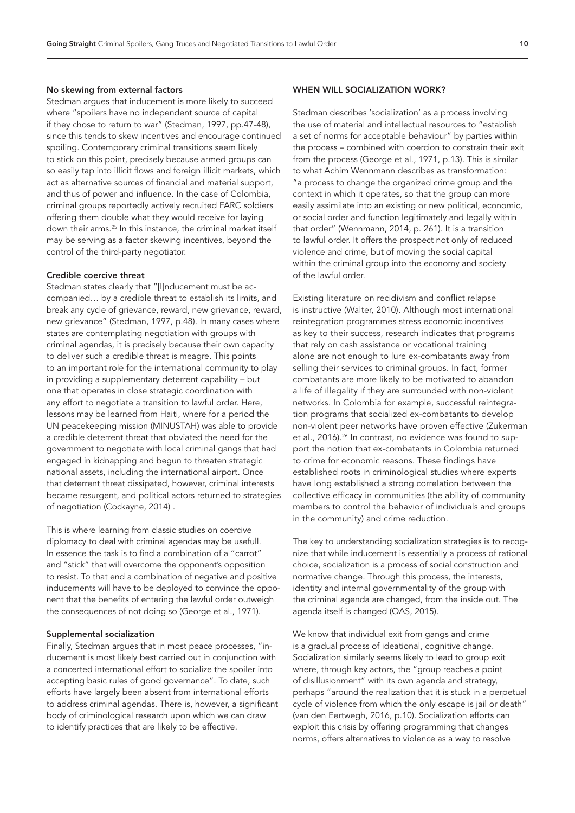#### No skewing from external factors

Stedman argues that inducement is more likely to succeed where "spoilers have no independent source of capital if they chose to return to war" (Stedman, 1997, pp.47-48), since this tends to skew incentives and encourage continued spoiling. Contemporary criminal transitions seem likely to stick on this point, precisely because armed groups can so easily tap into illicit flows and foreign illicit markets, which act as alternative sources of financial and material support, and thus of power and influence. In the case of Colombia, criminal groups reportedly actively recruited FARC soldiers offering them double what they would receive for laying down their arms[.25](#page-21-1) In this instance, the criminal market itself may be serving as a factor skewing incentives, beyond the control of the third-party negotiator.

#### Credible coercive threat

Stedman states clearly that "[I]nducement must be accompanied… by a credible threat to establish its limits, and break any cycle of grievance, reward, new grievance, reward, new grievance" (Stedman, 1997, p.48). In many cases where states are contemplating negotiation with groups with criminal agendas, it is precisely because their own capacity to deliver such a credible threat is meagre. This points to an important role for the international community to play in providing a supplementary deterrent capability – but one that operates in close strategic coordination with any effort to negotiate a transition to lawful order. Here, lessons may be learned from Haiti, where for a period the UN peacekeeping mission (MINUSTAH) was able to provide a credible deterrent threat that obviated the need for the government to negotiate with local criminal gangs that had engaged in kidnapping and begun to threaten strategic national assets, including the international airport. Once that deterrent threat dissipated, however, criminal interests became resurgent, and political actors returned to strategies of negotiation (Cockayne, 2014) .

This is where learning from classic studies on coercive diplomacy to deal with criminal agendas may be usefull. In essence the task is to find a combination of a "carrot" and "stick" that will overcome the opponent's opposition to resist. To that end a combination of negative and positive inducements will have to be deployed to convince the opponent that the benefits of entering the lawful order outweigh the consequences of not doing so (George et al., 1971).

### Supplemental socialization

Finally, Stedman argues that in most peace processes, "inducement is most likely best carried out in conjunction with a concerted international effort to socialize the spoiler into accepting basic rules of good governance". To date, such efforts have largely been absent from international efforts to address criminal agendas. There is, however, a significant body of criminological research upon which we can draw to identify practices that are likely to be effective.

# WHEN WILL SOCIALIZATION WORK?

Stedman describes 'socialization' as a process involving the use of material and intellectual resources to "establish a set of norms for acceptable behaviour" by parties within the process – combined with coercion to constrain their exit from the process (George et al., 1971, p.13). This is similar to what Achim Wennmann describes as transformation: "a process to change the organized crime group and the context in which it operates, so that the group can more easily assimilate into an existing or new political, economic, or social order and function legitimately and legally within that order" (Wennmann, 2014, p. 261). It is a transition to lawful order. It offers the prospect not only of reduced violence and crime, but of moving the social capital within the criminal group into the economy and society of the lawful order.

Existing literature on recidivism and conflict relapse is instructive (Walter, 2010). Although most international reintegration programmes stress economic incentives as key to their success, research indicates that programs that rely on cash assistance or vocational training alone are not enough to lure ex-combatants away from selling their services to criminal groups. In fact, former combatants are more likely to be motivated to abandon a life of illegality if they are surrounded with non-violent networks. In Colombia for example, successful reintegration programs that socialized ex-combatants to develop non-violent peer networks have proven effective (Zukerman et al., 2016).<sup>26</sup> In contrast, no evidence was found to support the notion that ex-combatants in Colombia returned to crime for economic reasons. These findings have established roots in criminological studies where experts have long established a strong correlation between the collective efficacy in communities (the ability of community members to control the behavior of individuals and groups in the community) and crime reduction.

The key to understanding socialization strategies is to recognize that while inducement is essentially a process of rational choice, socialization is a process of social construction and normative change. Through this process, the interests, identity and internal governmentality of the group with the criminal agenda are changed, from the inside out. The agenda itself is changed (OAS, 2015).

We know that individual exit from gangs and crime is a gradual process of ideational, cognitive change. Socialization similarly seems likely to lead to group exit where, through key actors, the "group reaches a point of disillusionment" with its own agenda and strategy, perhaps "around the realization that it is stuck in a perpetual cycle of violence from which the only escape is jail or death" (van den Eertwegh, 2016, p.10). Socialization efforts can exploit this crisis by offering programming that changes norms, offers alternatives to violence as a way to resolve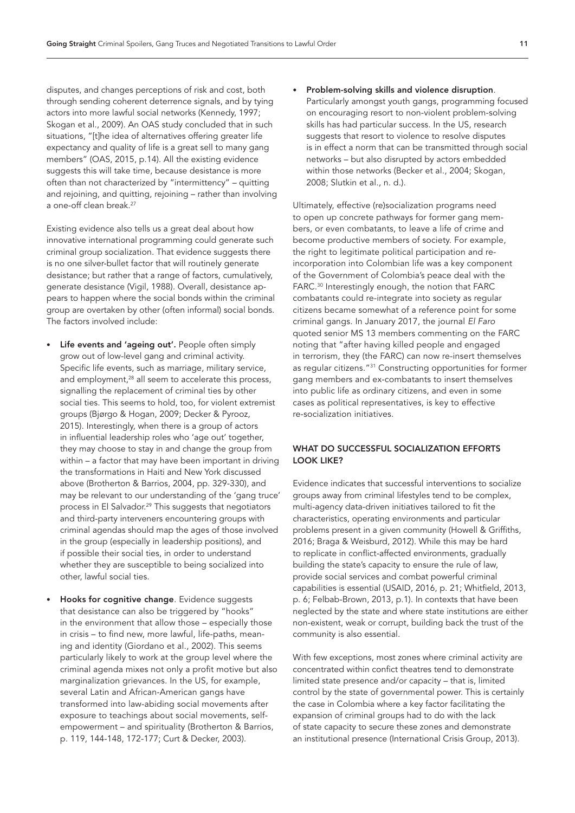disputes, and changes perceptions of risk and cost, both through sending coherent deterrence signals, and by tying actors into more lawful social networks (Kennedy, 1997; Skogan et al., 2009). An OAS study concluded that in such situations, "[t]he idea of alternatives offering greater life expectancy and quality of life is a great sell to many gang members" (OAS, 2015, p.14). All the existing evidence suggests this will take time, because desistance is more often than not characterized by "intermittency" – quitting and rejoining, and quitting, rejoining – rather than involving a one-off clean break.<sup>27</sup>

Existing evidence also tells us a great deal about how innovative international programming could generate such criminal group socialization. That evidence suggests there is no one silver-bullet factor that will routinely generate desistance; but rather that a range of factors, cumulatively, generate desistance (Vigil, 1988). Overall, desistance appears to happen where the social bonds within the criminal group are overtaken by other (often informal) social bonds. The factors involved include:

- Life events and 'ageing out'. People often simply grow out of low-level gang and criminal activity. Specific life events, such as marriage, military service, and employment,<sup>28</sup> all seem to accelerate this process, signalling the replacement of criminal ties by other social ties. This seems to hold, too, for violent extremist groups (Bjørgo & Hogan, 2009; Decker & Pyrooz, 2015). Interestingly, when there is a group of actors in influential leadership roles who 'age out' together, they may choose to stay in and change the group from within – a factor that may have been important in driving the transformations in Haiti and New York discussed above (Brotherton & Barrios, 2004, pp. 329-330), and may be relevant to our understanding of the 'gang truce' process in El Salvador.<sup>29</sup> This suggests that negotiators and third-party interveners encountering groups with criminal agendas should map the ages of those involved in the group (especially in leadership positions), and if possible their social ties, in order to understand whether they are susceptible to being socialized into other, lawful social ties.
- Hooks for cognitive change. Evidence suggests that desistance can also be triggered by "hooks" in the environment that allow those – especially those in crisis – to find new, more lawful, life-paths, meaning and identity (Giordano et al., 2002). This seems particularly likely to work at the group level where the criminal agenda mixes not only a profit motive but also marginalization grievances. In the US, for example, several Latin and African-American gangs have transformed into law-abiding social movements after exposure to teachings about social movements, selfempowerment – and spirituality (Brotherton & Barrios, p. 119, 144-148, 172-177; Curt & Decker, 2003).

• Problem-solving skills and violence disruption. Particularly amongst youth gangs, programming focused on encouraging resort to non-violent problem-solving skills has had particular success. In the US, research suggests that resort to violence to resolve disputes is in effect a norm that can be transmitted through social networks – but also disrupted by actors embedded within those networks (Becker et al., 2004; Skogan, 2008; Slutkin et al., n. d.).

Ultimately, effective (re)socialization programs need to open up concrete pathways for former gang members, or even combatants, to leave a life of crime and become productive members of society. For example, the right to legitimate political participation and reincorporation into Colombian life was a key component of the Government of Colombia's peace deal with the FARC.<sup>30</sup> Interestingly enough, the notion that FARC combatants could re-integrate into society as regular citizens became somewhat of a reference point for some criminal gangs. In January 2017, the journal *El Faro* quoted senior MS 13 members commenting on the FARC noting that "after having killed people and engaged in terrorism, they (the FARC) can now re-insert themselves as regular citizens.["31](#page-21-7) Constructing opportunities for former gang members and ex-combatants to insert themselves into public life as ordinary citizens, and even in some cases as political representatives, is key to effective re-socialization initiatives.

# WHAT DO SUCCESSFUL SOCIALIZATION EFFORTS LOOK LIKE?

Evidence indicates that successful interventions to socialize groups away from criminal lifestyles tend to be complex, multi-agency data-driven initiatives tailored to fit the characteristics, operating environments and particular problems present in a given community (Howell & Griffiths, 2016; Braga & Weisburd, 2012). While this may be hard to replicate in conflict-affected environments, gradually building the state's capacity to ensure the rule of law, provide social services and combat powerful criminal capabilities is essential (USAID, 2016, p. 21; Whitfield, 2013, p. 6; Felbab-Brown, 2013, p.1). In contexts that have been neglected by the state and where state institutions are either non-existent, weak or corrupt, building back the trust of the community is also essential.

With few exceptions, most zones where criminal activity are concentrated within confict theatres tend to demonstrate limited state presence and/or capacity – that is, limited control by the state of governmental power. This is certainly the case in Colombia where a key factor facilitating the expansion of criminal groups had to do with the lack of state capacity to secure these zones and demonstrate an institutional presence (International Crisis Group, 2013).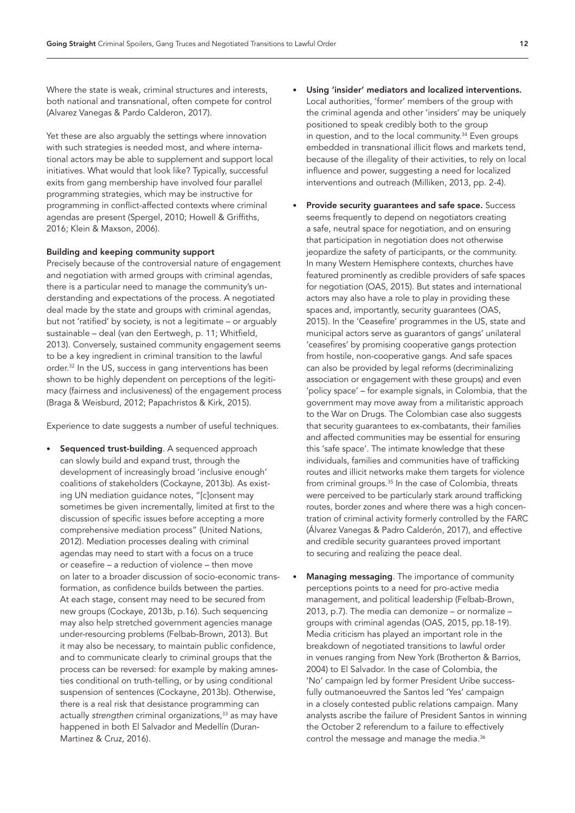Where the state is weak, criminal structures and interests, both national and transnational, often compete for control (Alvarez Vanegas & Pardo Calderon, 2017).

Yet these are also arguably the settings where innovation with such strategies is needed most, and where international actors may be able to supplement and support local initiatives. What would that look like? Typically, successful exits from gang membership have involved four parallel programming strategies, which may be instructive for programming in conflict-affected contexts where criminal agendas are present (Spergel, 2010; Howell & Griffiths, 2016; Klein & Maxson, 2006).

### Building and keeping community support

Precisely because of the controversial nature of engagement and negotiation with armed groups with criminal agendas, there is a particular need to manage the community's understanding and expectations of the process. A negotiated deal made by the state and groups with criminal agendas, but not 'ratified' by society, is not a legitimate – or arguably sustainable – deal (van den Eertwegh, p. 11; Whitfield, 2013). Conversely, sustained community engagement seems to be a key ingredient in criminal transition to the lawful order.[32](#page-21-8) In the US, success in gang interventions has been shown to be highly dependent on perceptions of the legitimacy (fairness and inclusiveness) of the engagement process (Braga & Weisburd, 2012; Papachristos & Kirk, 2015).

Experience to date suggests a number of useful techniques.

Sequenced trust-building. A sequenced approach can slowly build and expand trust, through the development of increasingly broad 'inclusive enough' coalitions of stakeholders (Cockayne, 2013b). As existing UN mediation guidance notes, "[c]onsent may sometimes be given incrementally, limited at first to the discussion of specific issues before accepting a more comprehensive mediation process" (United Nations, 2012). Mediation processes dealing with criminal agendas may need to start with a focus on a truce or ceasefire – a reduction of violence – then move on later to a broader discussion of socio-economic transformation, as confidence builds between the parties. At each stage, consent may need to be secured from new groups (Cockaye, 2013b, p.16). Such sequencing may also help stretched government agencies manage under-resourcing problems (Felbab-Brown, 2013). But it may also be necessary, to maintain public confidence, and to communicate clearly to criminal groups that the process can be reversed: for example by making amnesties conditional on truth-telling, or by using conditional suspension of sentences (Cockayne, 2013b). Otherwise, there is a real risk that desistance programming can actually *strengthen* criminal organizations,<sup>33</sup> as may have happened in both El Salvador and Medellín (Duran-Martinez & Cruz, 2016).

- Using 'insider' mediators and localized interventions. Local authorities, 'former' members of the group with the criminal agenda and other 'insiders' may be uniquely positioned to speak credibly both to the group in question, and to the local community.<sup>34</sup> Even groups embedded in transnational illicit flows and markets tend, because of the illegality of their activities, to rely on local influence and power, suggesting a need for localized interventions and outreach (Milliken, 2013, pp. 2-4).
- Provide security guarantees and safe space. Success seems frequently to depend on negotiators creating a safe, neutral space for negotiation, and on ensuring that participation in negotiation does not otherwise jeopardize the safety of participants, or the community. In many Western Hemisphere contexts, churches have featured prominently as credible providers of safe spaces for negotiation (OAS, 2015). But states and international actors may also have a role to play in providing these spaces and, importantly, security guarantees (OAS, 2015). In the 'Ceasefire' programmes in the US, state and municipal actors serve as guarantors of gangs' unilateral 'ceasefires' by promising cooperative gangs protection from hostile, non-cooperative gangs. And safe spaces can also be provided by legal reforms (decriminalizing association or engagement with these groups) and even 'policy space' – for example signals, in Colombia, that the government may move away from a militaristic approach to the War on Drugs. The Colombian case also suggests that security guarantees to ex-combatants, their families and affected communities may be essential for ensuring this 'safe space'. The intimate knowledge that these individuals, families and communities have of trafficking routes and illicit networks make them targets for violence from criminal groups.<sup>[35](#page-21-11)</sup> In the case of Colombia, threats were perceived to be particularly stark around trafficking routes, border zones and where there was a high concentration of criminal activity formerly controlled by the FARC (Álvarez Vanegas & Padro Calderón, 2017), and effective and credible security guarantees proved important to securing and realizing the peace deal.
- Managing messaging. The importance of community perceptions points to a need for pro-active media management, and political leadership (Felbab-Brown, 2013, p.7). The media can demonize – or normalize – groups with criminal agendas (OAS, 2015, pp.18-19). Media criticism has played an important role in the breakdown of negotiated transitions to lawful order in venues ranging from New York (Brotherton & Barrios, 2004) to El Salvador. In the case of Colombia, the 'No' campaign led by former President Uribe successfully outmanoeuvred the Santos led 'Yes' campaign in a closely contested public relations campaign. Many analysts ascribe the failure of President Santos in winning the October 2 referendum to a failure to effectively control the message and manage the media.<sup>36</sup>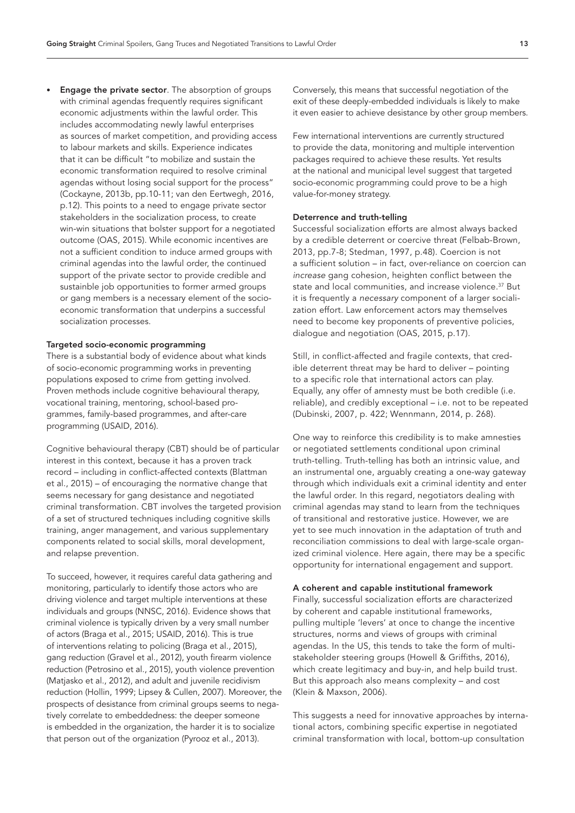**Engage the private sector**. The absorption of groups with criminal agendas frequently requires significant economic adjustments within the lawful order. This includes accommodating newly lawful enterprises as sources of market competition, and providing access to labour markets and skills. Experience indicates that it can be difficult "to mobilize and sustain the economic transformation required to resolve criminal agendas without losing social support for the process" (Cockayne, 2013b, pp.10-11; van den Eertwegh, 2016, p.12). This points to a need to engage private sector stakeholders in the socialization process, to create win-win situations that bolster support for a negotiated outcome (OAS, 2015). While economic incentives are not a sufficient condition to induce armed groups with criminal agendas into the lawful order, the continued support of the private sector to provide credible and sustainble job opportunities to former armed groups or gang members is a necessary element of the socioeconomic transformation that underpins a successful socialization processes.

#### Targeted socio-economic programming

There is a substantial body of evidence about what kinds of socio-economic programming works in preventing populations exposed to crime from getting involved. Proven methods include cognitive behavioural therapy, vocational training, mentoring, school-based programmes, family-based programmes, and after-care programming (USAID, 2016).

Cognitive behavioural therapy (CBT) should be of particular interest in this context, because it has a proven track record – including in conflict-affected contexts (Blattman et al., 2015) – of encouraging the normative change that seems necessary for gang desistance and negotiated criminal transformation. CBT involves the targeted provision of a set of structured techniques including cognitive skills training, anger management, and various supplementary components related to social skills, moral development, and relapse prevention.

To succeed, however, it requires careful data gathering and monitoring, particularly to identify those actors who are driving violence and target multiple interventions at these individuals and groups (NNSC, 2016). Evidence shows that criminal violence is typically driven by a very small number of actors (Braga et al., 2015; USAID, 2016). This is true of interventions relating to policing (Braga et al., 2015), gang reduction (Gravel et al., 2012), youth firearm violence reduction (Petrosino et al., 2015), youth violence prevention (Matjasko et al., 2012), and adult and juvenile recidivism reduction (Hollin, 1999; Lipsey & Cullen, 2007). Moreover, the prospects of desistance from criminal groups seems to negatively correlate to embeddedness: the deeper someone is embedded in the organization, the harder it is to socialize that person out of the organization (Pyrooz et al., 2013).

Conversely, this means that successful negotiation of the exit of these deeply-embedded individuals is likely to make it even easier to achieve desistance by other group members.

Few international interventions are currently structured to provide the data, monitoring and multiple intervention packages required to achieve these results. Yet results at the national and municipal level suggest that targeted socio-economic programming could prove to be a high value-for-money strategy.

#### Deterrence and truth-telling

Successful socialization efforts are almost always backed by a credible deterrent or coercive threat (Felbab-Brown, 2013, pp.7-8; Stedman, 1997, p.48). Coercion is not a sufficient solution – in fact, over-reliance on coercion can *increase* gang cohesion, heighten conflict between the state and local communities, and increase violence.<sup>[37](#page-21-13)</sup> But it is frequently a *necessary* component of a larger socialization effort. Law enforcement actors may themselves need to become key proponents of preventive policies, dialogue and negotiation (OAS, 2015, p.17).

Still, in conflict-affected and fragile contexts, that credible deterrent threat may be hard to deliver – pointing to a specific role that international actors can play. Equally, any offer of amnesty must be both credible (i.e. reliable), and credibly exceptional – i.e. not to be repeated (Dubinski, 2007, p. 422; Wennmann, 2014, p. 268).

One way to reinforce this credibility is to make amnesties or negotiated settlements conditional upon criminal truth-telling. Truth-telling has both an intrinsic value, and an instrumental one, arguably creating a one-way gateway through which individuals exit a criminal identity and enter the lawful order. In this regard, negotiators dealing with criminal agendas may stand to learn from the techniques of transitional and restorative justice. However, we are yet to see much innovation in the adaptation of truth and reconciliation commissions to deal with large-scale organized criminal violence. Here again, there may be a specific opportunity for international engagement and support.

#### A coherent and capable institutional framework

Finally, successful socialization efforts are characterized by coherent and capable institutional frameworks, pulling multiple 'levers' at once to change the incentive structures, norms and views of groups with criminal agendas. In the US, this tends to take the form of multistakeholder steering groups (Howell & Griffiths, 2016), which create legitimacy and buy-in, and help build trust. But this approach also means complexity – and cost (Klein & Maxson, 2006).

This suggests a need for innovative approaches by international actors, combining specific expertise in negotiated criminal transformation with local, bottom-up consultation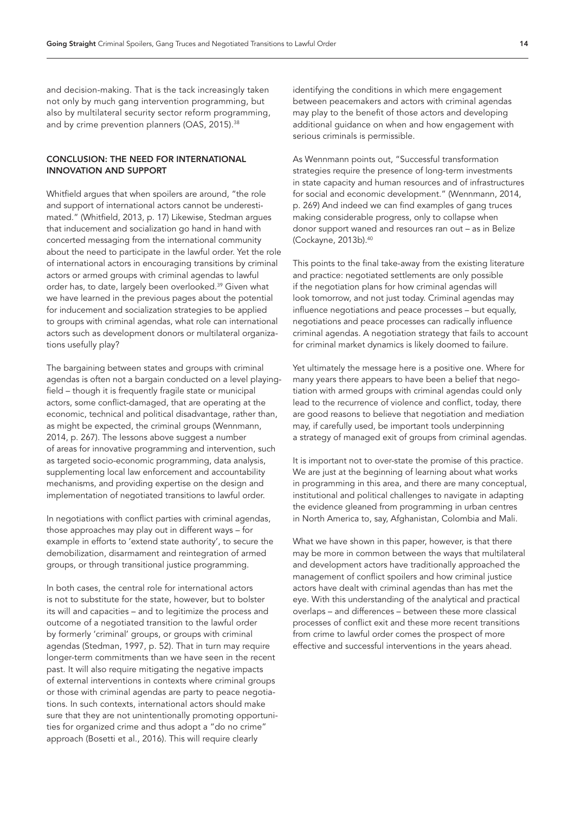and decision-making. That is the tack increasingly taken not only by much gang intervention programming, but also by multilateral security sector reform programming, and by crime prevention planners (OAS, 2015).<sup>38</sup>

# CONCLUSION: THE NEED FOR INTERNATIONAL INNOVATION AND SUPPORT

Whitfield argues that when spoilers are around, "the role and support of international actors cannot be underestimated." (Whitfield, 2013, p. 17) Likewise, Stedman argues that inducement and socialization go hand in hand with concerted messaging from the international community about the need to participate in the lawful order. Yet the role of international actors in encouraging transitions by criminal actors or armed groups with criminal agendas to lawful order has, to date, largely been overlooked.[39](#page-21-15) Given what we have learned in the previous pages about the potential for inducement and socialization strategies to be applied to groups with criminal agendas, what role can international actors such as development donors or multilateral organizations usefully play?

The bargaining between states and groups with criminal agendas is often not a bargain conducted on a level playingfield – though it is frequently fragile state or municipal actors, some conflict-damaged, that are operating at the economic, technical and political disadvantage, rather than, as might be expected, the criminal groups (Wennmann, 2014, p. 267). The lessons above suggest a number of areas for innovative programming and intervention, such as targeted socio-economic programming, data analysis, supplementing local law enforcement and accountability mechanisms, and providing expertise on the design and implementation of negotiated transitions to lawful order.

In negotiations with conflict parties with criminal agendas, those approaches may play out in different ways – for example in efforts to 'extend state authority', to secure the demobilization, disarmament and reintegration of armed groups, or through transitional justice programming.

In both cases, the central role for international actors is not to substitute for the state, however, but to bolster its will and capacities – and to legitimize the process and outcome of a negotiated transition to the lawful order by formerly 'criminal' groups, or groups with criminal agendas (Stedman, 1997, p. 52). That in turn may require longer-term commitments than we have seen in the recent past. It will also require mitigating the negative impacts of external interventions in contexts where criminal groups or those with criminal agendas are party to peace negotiations. In such contexts, international actors should make sure that they are not unintentionally promoting opportunities for organized crime and thus adopt a "do no crime" approach (Bosetti et al., 2016). This will require clearly

identifying the conditions in which mere engagement between peacemakers and actors with criminal agendas may play to the benefit of those actors and developing additional guidance on when and how engagement with serious criminals is permissible.

As Wennmann points out, "Successful transformation strategies require the presence of long-term investments in state capacity and human resources and of infrastructures for social and economic development." (Wennmann, 2014, p. 269) And indeed we can find examples of gang truces making considerable progress, only to collapse when donor support waned and resources ran out – as in Belize (Cockayne, 2013b)[.40](#page-21-16)

This points to the final take-away from the existing literature and practice: negotiated settlements are only possible if the negotiation plans for how criminal agendas will look tomorrow, and not just today. Criminal agendas may influence negotiations and peace processes – but equally, negotiations and peace processes can radically influence criminal agendas. A negotiation strategy that fails to account for criminal market dynamics is likely doomed to failure.

Yet ultimately the message here is a positive one. Where for many years there appears to have been a belief that negotiation with armed groups with criminal agendas could only lead to the recurrence of violence and conflict, today, there are good reasons to believe that negotiation and mediation may, if carefully used, be important tools underpinning a strategy of managed exit of groups from criminal agendas.

It is important not to over-state the promise of this practice. We are just at the beginning of learning about what works in programming in this area, and there are many conceptual, institutional and political challenges to navigate in adapting the evidence gleaned from programming in urban centres in North America to, say, Afghanistan, Colombia and Mali.

What we have shown in this paper, however, is that there may be more in common between the ways that multilateral and development actors have traditionally approached the management of conflict spoilers and how criminal justice actors have dealt with criminal agendas than has met the eye. With this understanding of the analytical and practical overlaps – and differences – between these more classical processes of conflict exit and these more recent transitions from crime to lawful order comes the prospect of more effective and successful interventions in the years ahead.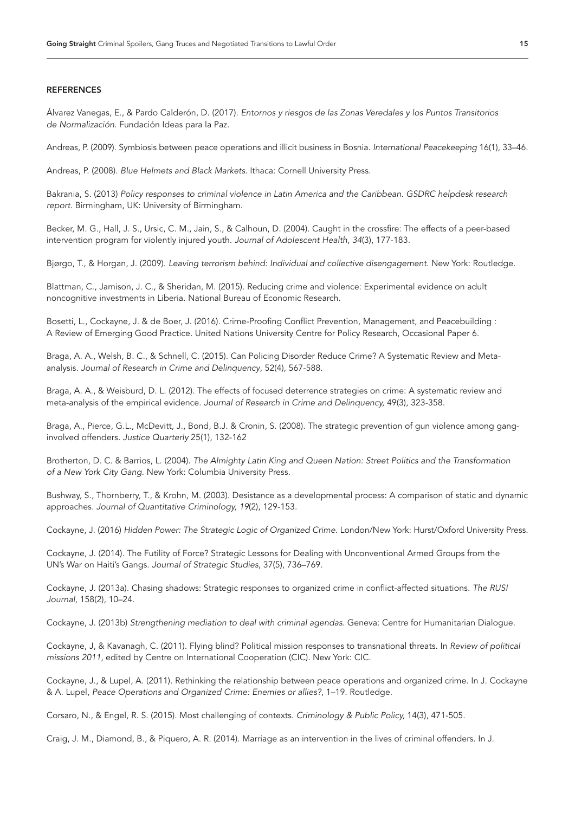#### **REFERENCES**

Álvarez Vanegas, E., & Pardo Calderón, D. (2017). *Entornos y riesgos de las Zonas Veredales y los Puntos Transitorios de Normalización*. Fundación Ideas para la Paz.

Andreas, P. (2009). Symbiosis between peace operations and illicit business in Bosnia. *International Peacekeeping* 16(1), 33–46.

Andreas, P. (2008). *Blue Helmets and Black Markets*. Ithaca: Cornell University Press.

Bakrania, S. (2013) *Policy responses to criminal violence in Latin America and the Caribbean. GSDRC helpdesk research report*. Birmingham, UK: University of Birmingham.

Becker, M. G., Hall, J. S., Ursic, C. M., Jain, S., & Calhoun, D. (2004). Caught in the crossfire: The effects of a peer-based intervention program for violently injured youth. *Journal of Adolescent Health, 34*(3), 177-183.

Bjørgo, T., & Horgan, J. (2009). *Leaving terrorism behind: Individual and collective disengagement*. New York: Routledge.

Blattman, C., Jamison, J. C., & Sheridan, M. (2015). Reducing crime and violence: Experimental evidence on adult noncognitive investments in Liberia. National Bureau of Economic Research.

Bosetti, L., Cockayne, J. & de Boer, J. (2016). Crime-Proofing Conflict Prevention, Management, and Peacebuilding : A Review of Emerging Good Practice. United Nations University Centre for Policy Research, Occasional Paper 6.

Braga, A. A., Welsh, B. C., & Schnell, C. (2015). Can Policing Disorder Reduce Crime? A Systematic Review and Metaanalysis. *Journal of Research in Crime and Delinquency*, 52(4), 567-588.

Braga, A. A., & Weisburd, D. L. (2012). The effects of focused deterrence strategies on crime: A systematic review and meta-analysis of the empirical evidence. *Journal of Research in Crime and Delinquency,* 49(3), 323-358.

Braga, A., Pierce, G.L., McDevitt, J., Bond, B.J. & Cronin, S. (2008). The strategic prevention of gun violence among ganginvolved offenders. *Justice Quarterly* 25(1), 132-162

Brotherton, D. C. & Barrios, L. (2004). *The Almighty Latin King and Queen Nation: Street Politics and the Transformation of a New York City Gang.* New York: Columbia University Press.

Bushway, S., Thornberry, T., & Krohn, M. (2003). Desistance as a developmental process: A comparison of static and dynamic approaches. *Journal of Quantitative Criminology, 19*(2), 129-153.

Cockayne, J. (2016) *Hidden Power: The Strategic Logic of Organized Crime.* London/New York: Hurst/Oxford University Press.

Cockayne, J. (2014). The Futility of Force? Strategic Lessons for Dealing with Unconventional Armed Groups from the UN's War on Haiti's Gangs. *Journal of Strategic Studies*, 37(5), 736–769.

Cockayne, J. (2013a). Chasing shadows: Strategic responses to organized crime in conflict-affected situations. *The RUSI Journal*, 158(2), 10–24.

Cockayne, J. (2013b) *Strengthening mediation to deal with criminal agendas*. Geneva: Centre for Humanitarian Dialogue.

Cockayne, J, & Kavanagh, C. (2011). Flying blind? Political mission responses to transnational threats. In *Review of political missions 2011*, edited by Centre on International Cooperation (CIC). New York: CIC.

Cockayne, J., & Lupel, A. (2011). Rethinking the relationship between peace operations and organized crime. In J. Cockayne & A. Lupel, *Peace Operations and Organized Crime: Enemies or allies?*, 1–19. Routledge.

Corsaro, N., & Engel, R. S. (2015). Most challenging of contexts. *Criminology & Public Policy,* 14(3), 471-505.

Craig, J. M., Diamond, B., & Piquero, A. R. (2014). Marriage as an intervention in the lives of criminal offenders. In J.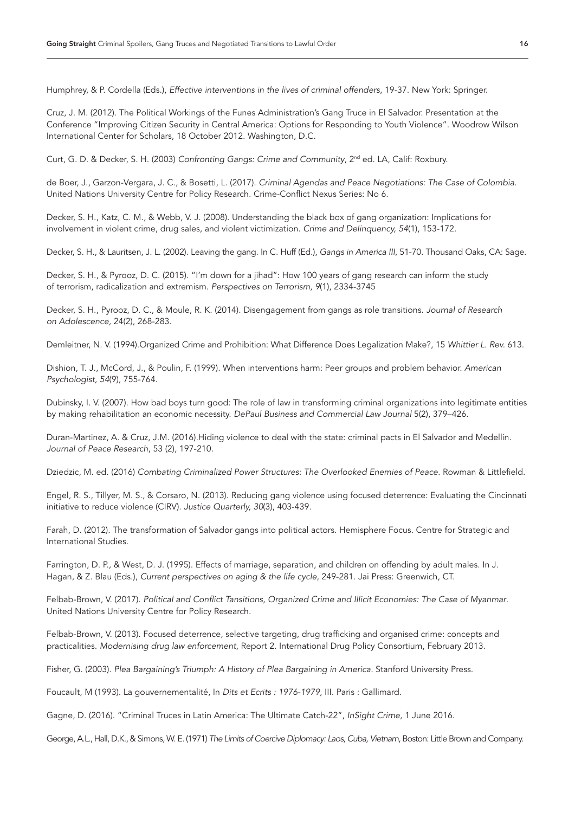Humphrey, & P. Cordella (Eds.), *Effective interventions in the lives of criminal offenders*, 19-37. New York: Springer.

Cruz, J. M. (2012). The Political Workings of the Funes Administration's Gang Truce in El Salvador. Presentation at the Conference "Improving Citizen Security in Central America: Options for Responding to Youth Violence". Woodrow Wilson International Center for Scholars, 18 October 2012. Washington, D.C.

Curt, G. D. & Decker, S. H. (2003) *Confronting Gangs: Crime and Community*, 2nd ed. LA, Calif: Roxbury.

de Boer, J., Garzon-Vergara, J. C., & Bosetti, L. (2017). *Criminal Agendas and Peace Negotiations: The Case of Colombia*. United Nations University Centre for Policy Research. Crime-Conflict Nexus Series: No 6.

Decker, S. H., Katz, C. M., & Webb, V. J. (2008). Understanding the black box of gang organization: Implications for involvement in violent crime, drug sales, and violent victimization. *Crime and Delinquency, 54*(1), 153-172.

Decker, S. H., & Lauritsen, J. L. (2002). Leaving the gang. In C. Huff (Ed.), *Gangs in America III*, 51-70. Thousand Oaks, CA: Sage.

Decker, S. H., & Pyrooz, D. C. (2015). "I'm down for a jihad": How 100 years of gang research can inform the study of terrorism, radicalization and extremism. *Perspectives on Terrorism, 9*(1), 2334-3745

Decker, S. H., Pyrooz, D. C., & Moule, R. K. (2014). Disengagement from gangs as role transitions. *Journal of Research on Adolescence,* 24(2), 268-283.

Demleitner, N. V. (1994).Organized Crime and Prohibition: What Difference Does Legalization Make?, 15 *Whittier L. Rev.* 613.

Dishion, T. J., McCord, J., & Poulin, F. (1999). When interventions harm: Peer groups and problem behavior. *American Psychologist, 54*(9), 755-764.

Dubinsky, I. V. (2007). How bad boys turn good: The role of law in transforming criminal organizations into legitimate entities by making rehabilitation an economic necessity. *DePaul Business and Commercial Law Journal* 5(2), 379–426.

Duran-Martinez, A. & Cruz, J.M. (2016).Hiding violence to deal with the state: criminal pacts in El Salvador and Medellín. *Journal of Peace Research*, 53 (2), 197-210.

Dziedzic, M. ed. (2016) *Combating Criminalized Power Structures: The Overlooked Enemies of Peace.* Rowman & Littlefield.

Engel, R. S., Tillyer, M. S., & Corsaro, N. (2013). Reducing gang violence using focused deterrence: Evaluating the Cincinnati initiative to reduce violence (CIRV). *Justice Quarterly, 30*(3), 403-439.

Farah, D. (2012). The transformation of Salvador gangs into political actors. Hemisphere Focus. Centre for Strategic and International Studies.

Farrington, D. P., & West, D. J. (1995). Effects of marriage, separation, and children on offending by adult males. In J. Hagan, & Z. Blau (Eds.), *Current perspectives on aging & the life cycle*, 249-281. Jai Press: Greenwich, CT.

Felbab-Brown, V. (2017). *Political and Conflict Tansitions, Organized Crime and Illicit Economies: The Case of Myanmar*. United Nations University Centre for Policy Research.

Felbab-Brown, V. (2013). Focused deterrence, selective targeting, drug trafficking and organised crime: concepts and practicalities. *Modernising drug law enforcement*, Report 2. International Drug Policy Consortium, February 2013.

Fisher, G. (2003). *Plea Bargaining's Triumph: A History of Plea Bargaining in America*. Stanford University Press.

Foucault, M (1993). La gouvernementalité, In *Dits et Ecrits : 1976-1979*, III. Paris : Gallimard.

Gagne, D. (2016). "Criminal Truces in Latin America: The Ultimate Catch-22", *InSight Crime*, 1 June 2016.

George, A.L., Hall, D.K., & Simons, W. E. (1971) *The Limits of Coercive Diplomacy: Laos, Cuba, Vietnam*, Boston: Little Brown and Company.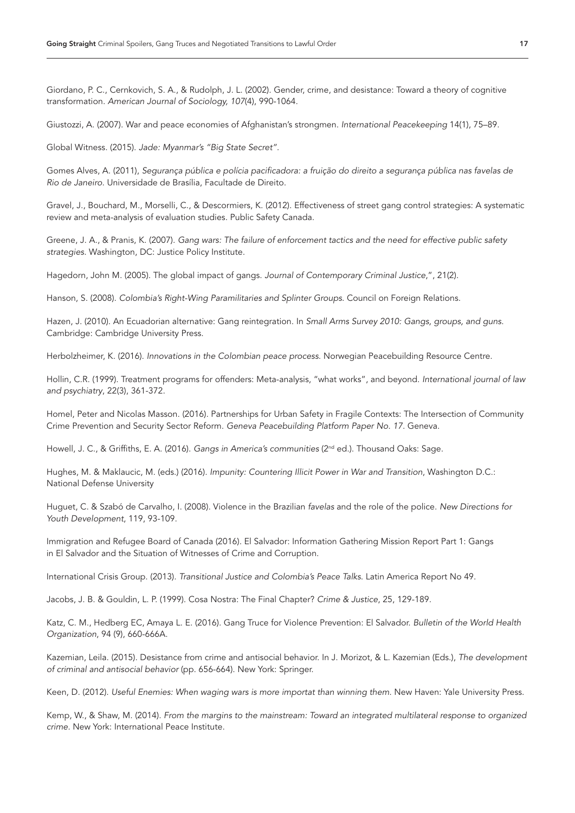Giordano, P. C., Cernkovich, S. A., & Rudolph, J. L. (2002). Gender, crime, and desistance: Toward a theory of cognitive transformation. *American Journal of Sociology, 107*(4), 990-1064.

Giustozzi, A. (2007). War and peace economies of Afghanistan's strongmen. *International Peacekeeping* 14(1), 75–89.

Global Witness. (2015). *Jade: Myanmar's "Big State Secret".*

Gomes Alves, A. (2011), *Segurança pública e polícia pacificadora: a fruição do direito a segurança pública nas favelas de Rio de Janeiro*. Universidade de Brasília, Facultade de Direito.

Gravel, J., Bouchard, M., Morselli, C., & Descormiers, K. (2012). Effectiveness of street gang control strategies: A systematic review and meta-analysis of evaluation studies. Public Safety Canada.

Greene, J. A., & Pranis, K. (2007). *Gang wars: The failure of enforcement tactics and the need for effective public safety strategies*. Washington, DC: Justice Policy Institute.

Hagedorn, John M. (2005). The global impact of gangs. *Journal of Contemporary Criminal Justice*,", 21(2).

Hanson, S. (2008). *Colombia's Right-Wing Paramilitaries and Splinter Groups*. Council on Foreign Relations.

Hazen, J. (2010). An Ecuadorian alternative: Gang reintegration. In *Small Arms Survey 2010: Gangs, groups, and guns*. Cambridge: Cambridge University Press.

Herbolzheimer, K. (2016). *Innovations in the Colombian peace process*. Norwegian Peacebuilding Resource Centre.

Hollin, C.R. (1999). Treatment programs for offenders: Meta-analysis, "what works", and beyond. *International journal of law and psychiatry*, 22(3), 361-372.

Homel, Peter and Nicolas Masson. (2016). Partnerships for Urban Safety in Fragile Contexts: The Intersection of Community Crime Prevention and Security Sector Reform. *Geneva Peacebuilding Platform Paper No. 17*. Geneva.

Howell, J. C., & Griffiths, E. A. (2016). *Gangs in America's communities* (2nd ed.). Thousand Oaks: Sage.

Hughes, M. & Maklaucic, M. (eds.) (2016). *Impunity: Countering Illicit Power in War and Transition*, Washington D.C.: National Defense University

Huguet, C. & Szabó de Carvalho, I. (2008). Violence in the Brazilian *favelas* and the role of the police. *New Directions for Youth Development*, 119, 93-109.

Immigration and Refugee Board of Canada (2016). El Salvador: Information Gathering Mission Report Part 1: Gangs in El Salvador and the Situation of Witnesses of Crime and Corruption.

International Crisis Group. (2013). *Transitional Justice and Colombia's Peace Talks*. Latin America Report No 49.

Jacobs, J. B. & Gouldin, L. P. (1999). Cosa Nostra: The Final Chapter? *Crime & Justice*, 25, 129-189.

Katz, C. M., Hedberg EC, Amaya L. E. (2016). Gang Truce for Violence Prevention: El Salvador. *Bulletin of the World Health Organization*, 94 (9), 660-666A.

Kazemian, Leila. (2015). Desistance from crime and antisocial behavior. In J. Morizot, & L. Kazemian (Eds.), *The development of criminal and antisocial behavior* (pp. 656-664). New York: Springer.

Keen, D. (2012). *Useful Enemies: When waging wars is more importat than winning them.* New Haven: Yale University Press.

Kemp, W., & Shaw, M. (2014). *From the margins to the mainstream: Toward an integrated multilateral response to organized crime.* New York: International Peace Institute.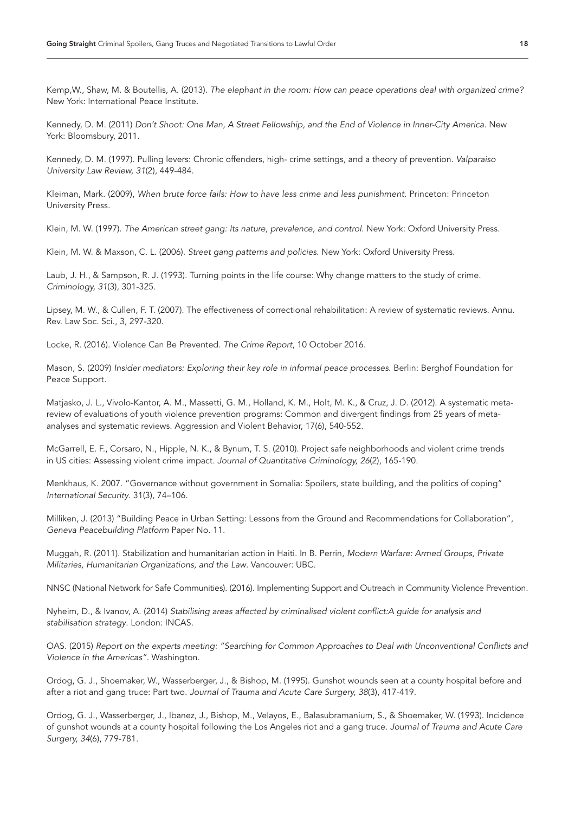Kemp,W., Shaw, M. & Boutellis, A. (2013). *The elephant in the room: How can peace operations deal with organized crime?*  New York: International Peace Institute.

Kennedy, D. M. (2011) *Don't Shoot: One Man, A Street Fellowship, and the End of Violence in Inner-City America.* New York: Bloomsbury, 2011.

Kennedy, D. M. (1997). Pulling levers: Chronic offenders, high- crime settings, and a theory of prevention. *Valparaiso University Law Review, 31*(2), 449-484.

Kleiman, Mark. (2009), *When brute force fails: How to have less crime and less punishment.* Princeton: Princeton University Press.

Klein, M. W. (1997). *The American street gang: Its nature, prevalence, and control*. New York: Oxford University Press.

Klein, M. W. & Maxson, C. L. (2006). *Street gang patterns and policies*. New York: Oxford University Press.

Laub, J. H., & Sampson, R. J. (1993). Turning points in the life course: Why change matters to the study of crime. *Criminology, 31*(3), 301-325.

Lipsey, M. W., & Cullen, F. T. (2007). The effectiveness of correctional rehabilitation: A review of systematic reviews. Annu. Rev. Law Soc. Sci., 3, 297-320.

Locke, R. (2016). Violence Can Be Prevented. *The Crime Report*, 10 October 2016.

Mason, S. (2009) *Insider mediators: Exploring their key role in informal peace processes*. Berlin: Berghof Foundation for Peace Support.

Matjasko, J. L., Vivolo-Kantor, A. M., Massetti, G. M., Holland, K. M., Holt, M. K., & Cruz, J. D. (2012). A systematic metareview of evaluations of youth violence prevention programs: Common and divergent findings from 25 years of metaanalyses and systematic reviews. Aggression and Violent Behavior, 17(6), 540-552.

McGarrell, E. F., Corsaro, N., Hipple, N. K., & Bynum, T. S. (2010). Project safe neighborhoods and violent crime trends in US cities: Assessing violent crime impact. *Journal of Quantitative Criminology, 26*(2), 165-190.

Menkhaus, K. 2007. "Governance without government in Somalia: Spoilers, state building, and the politics of coping" *International Security*. 31(3), 74–106.

Milliken, J. (2013) "Building Peace in Urban Setting: Lessons from the Ground and Recommendations for Collaboration", *Geneva Peacebuilding Platform* Paper No. 11.

Muggah, R. (2011). Stabilization and humanitarian action in Haiti. In B. Perrin, *Modern Warfare: Armed Groups, Private Militaries, Humanitarian Organizations, and the Law*. Vancouver: UBC.

NNSC (National Network for Safe Communities). (2016). Implementing Support and Outreach in Community Violence Prevention.

Nyheim, D., & Ivanov, A. (2014) *Stabilising areas affected by criminalised violent conflict:A guide for analysis and stabilisation strategy*. London: INCAS.

OAS. (2015) *Report on the experts meeting: "Searching for Common Approaches to Deal with Unconventional Conflicts and Violence in the Americas".* Washington.

Ordog, G. J., Shoemaker, W., Wasserberger, J., & Bishop, M. (1995). Gunshot wounds seen at a county hospital before and after a riot and gang truce: Part two. *Journal of Trauma and Acute Care Surgery, 38*(3), 417-419.

Ordog, G. J., Wasserberger, J., Ibanez, J., Bishop, M., Velayos, E., Balasubramanium, S., & Shoemaker, W. (1993). Incidence of gunshot wounds at a county hospital following the Los Angeles riot and a gang truce. *Journal of Trauma and Acute Care Surgery, 34*(6), 779-781.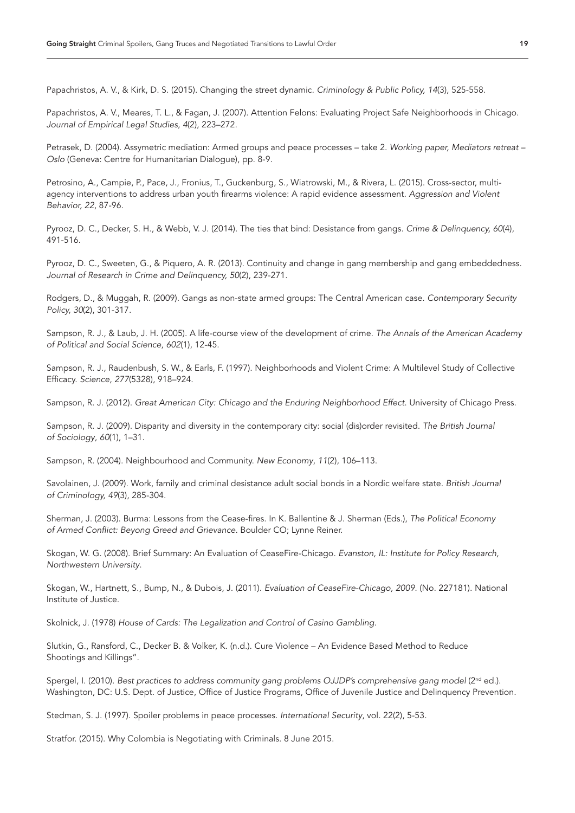Papachristos, A. V., & Kirk, D. S. (2015). Changing the street dynamic. *Criminology & Public Policy, 14*(3), 525-558.

Papachristos, A. V., Meares, T. L., & Fagan, J. (2007). Attention Felons: Evaluating Project Safe Neighborhoods in Chicago. *Journal of Empirical Legal Studies*, *4*(2), 223–272.

Petrasek, D. (2004). Assymetric mediation: Armed groups and peace processes – take 2. *Working paper, Mediators retreat – Oslo* (Geneva: Centre for Humanitarian Dialogue), pp. 8-9.

Petrosino, A., Campie, P., Pace, J., Fronius, T., Guckenburg, S., Wiatrowski, M., & Rivera, L. (2015). Cross-sector, multiagency interventions to address urban youth firearms violence: A rapid evidence assessment. *Aggression and Violent Behavior, 22*, 87-96.

Pyrooz, D. C., Decker, S. H., & Webb, V. J. (2014). The ties that bind: Desistance from gangs. *Crime & Delinquency, 60*(4), 491-516.

Pyrooz, D. C., Sweeten, G., & Piquero, A. R. (2013). Continuity and change in gang membership and gang embeddedness. *Journal of Research in Crime and Delinquency, 50*(2), 239-271.

Rodgers, D., & Muggah, R. (2009). Gangs as non-state armed groups: The Central American case. *Contemporary Security Policy, 30*(2), 301-317.

Sampson, R. J., & Laub, J. H. (2005). A life-course view of the development of crime. *The Annals of the American Academy of Political and Social Science, 602*(1), 12-45.

Sampson, R. J., Raudenbush, S. W., & Earls, F. (1997). Neighborhoods and Violent Crime: A Multilevel Study of Collective Efficacy. *Science*, *277*(5328), 918–924.

Sampson, R. J. (2012). *Great American City: Chicago and the Enduring Neighborhood Effect*. University of Chicago Press.

Sampson, R. J. (2009). Disparity and diversity in the contemporary city: social (dis)order revisited. *The British Journal of Sociology*, *60*(1), 1–31.

Sampson, R. (2004). Neighbourhood and Community. *New Economy*, *11*(2), 106–113.

Savolainen, J. (2009). Work, family and criminal desistance adult social bonds in a Nordic welfare state. *British Journal of Criminology, 49*(3), 285-304.

Sherman, J. (2003). Burma: Lessons from the Cease-fires. In K. Ballentine & J. Sherman (Eds.), *The Political Economy of Armed Conflict: Beyong Greed and Grievance*. Boulder CO; Lynne Reiner.

Skogan, W. G. (2008). Brief Summary: An Evaluation of CeaseFire-Chicago. *Evanston, IL: Institute for Policy Research, Northwestern University*.

Skogan, W., Hartnett, S., Bump, N., & Dubois, J. (2011). *Evaluation of CeaseFire-Chicago, 2009.* (No. 227181). National Institute of Justice.

Skolnick, J. (1978) *House of Cards: The Legalization and Control of Casino Gambling.* 

Slutkin, G., Ransford, C., Decker B. & Volker, K. (n.d.). Cure Violence – An Evidence Based Method to Reduce Shootings and Killings".

Spergel, I. (2010). *Best practices to address community gang problems OJJDP's comprehensive gang model* (2<sup>nd</sup> ed.). Washington, DC: U.S. Dept. of Justice, Office of Justice Programs, Office of Juvenile Justice and Delinquency Prevention.

Stedman, S. J. (1997). Spoiler problems in peace processes. *International Security*, vol. 22(2), 5-53.

Stratfor. (2015). Why Colombia is Negotiating with Criminals. 8 June 2015.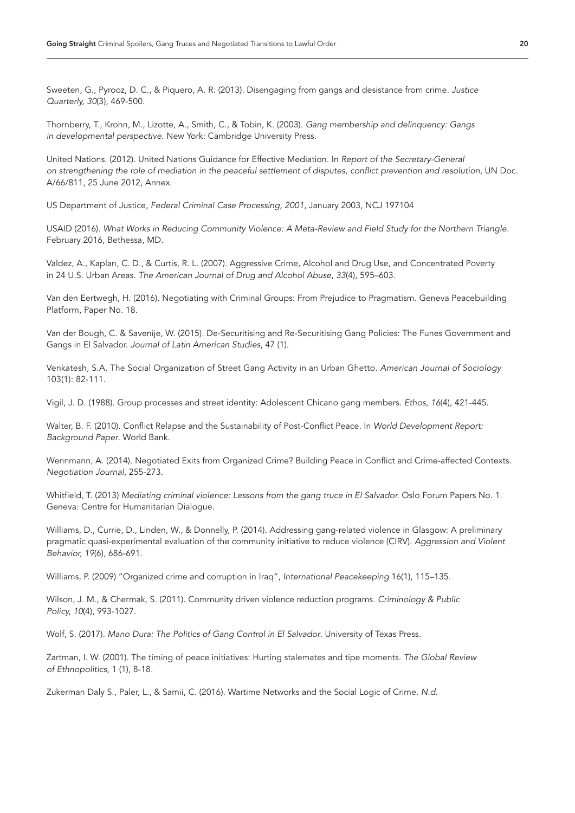Sweeten, G., Pyrooz, D. C., & Piquero, A. R. (2013). Disengaging from gangs and desistance from crime. *Justice Quarterly, 30*(3), 469-500.

Thornberry, T., Krohn, M., Lizotte, A., Smith, C., & Tobin, K. (2003). *Gang membership and delinquency: Gangs in developmental perspective*. New York: Cambridge University Press.

United Nations. (2012). United Nations Guidance for Effective Mediation. In *Report of the Secretary-General on strengthening the role of mediation in the peaceful settlement of disputes, conflict prevention and resolution*, UN Doc. A/66/811, 25 June 2012, Annex.

US Department of Justice, *Federal Criminal Case Processing, 2001*, January 2003, NCJ 197104

USAID (2016). *What Works in Reducing Community Violence: A Meta-Review and Field Study for the Northern Triangle.*  February 2016, Bethessa, MD.

Valdez, A., Kaplan, C. D., & Curtis, R. L. (2007). Aggressive Crime, Alcohol and Drug Use, and Concentrated Poverty in 24 U.S. Urban Areas. *The American Journal of Drug and Alcohol Abuse*, *33*(4), 595–603.

Van den Eertwegh, H. (2016). Negotiating with Criminal Groups: From Prejudice to Pragmatism. Geneva Peacebuilding Platform, Paper No. 18.

Van der Bough, C. & Savenije, W. (2015). De-Securitising and Re-Securitising Gang Policies: The Funes Government and Gangs in El Salvador. *Journal of Latin American Studies*, 47 (1).

Venkatesh, S.A. The Social Organization of Street Gang Activity in an Urban Ghetto. *American Journal of Sociology* 103(1): 82-111.

Vigil, J. D. (1988). Group processes and street identity: Adolescent Chicano gang members. *Ethos, 16*(4), 421-445.

Walter, B. F. (2010). Conflict Relapse and the Sustainability of Post-Conflict Peace. In *World Development Report: Background Paper*. World Bank.

Wennmann, A. (2014). Negotiated Exits from Organized Crime? Building Peace in Conflict and Crime-affected Contexts. *Negotiation Journal*, 255-273.

Whitfield, T. (2013) *Mediating criminal violence: Lessons from the gang truce in El Salvador.* Oslo Forum Papers No. 1. Geneva: Centre for Humanitarian Dialogue.

Williams, D., Currie, D., Linden, W., & Donnelly, P. (2014). Addressing gang-related violence in Glasgow: A preliminary pragmatic quasi-experimental evaluation of the community initiative to reduce violence (CIRV). *Aggression and Violent Behavior, 19*(6), 686-691.

Williams, P. (2009) "Organized crime and corruption in Iraq", *International Peacekeeping* 16(1), 115–135.

Wilson, J. M., & Chermak, S. (2011). Community driven violence reduction programs. Criminology & Public *Policy, 10*(4), 993-1027.

Wolf, S. (2017). *Mano Dura: The Politics of Gang Control in El Salvador*. University of Texas Press.

Zartman, I. W. (2001). The timing of peace initiatives: Hurting stalemates and tipe moments. *The Global Review of Ethnopolitics*, 1 (1), 8-18.

Zukerman Daly S., Paler, L., & Samii, C. (2016). Wartime Networks and the Social Logic of Crime. *N.d.*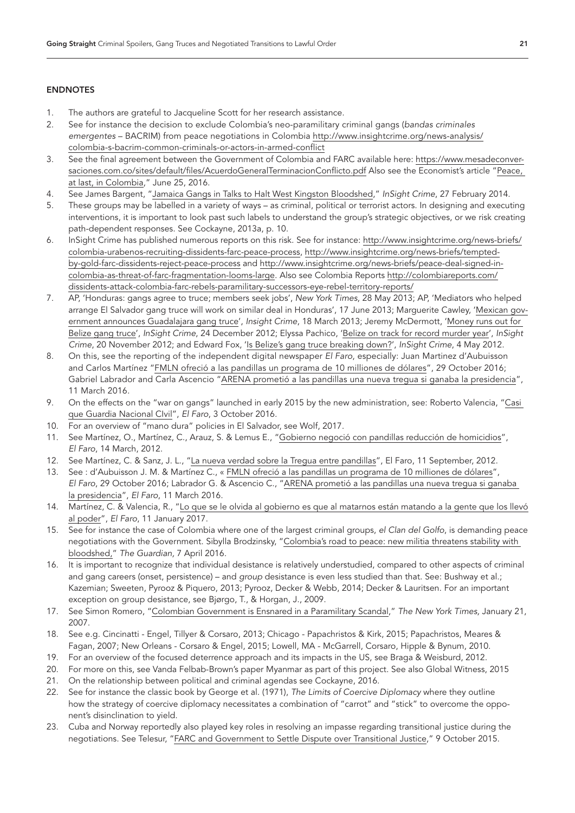# ENDNOTES

- <span id="page-20-0"></span>1. The authors are grateful to Jacqueline Scott for her research assistance.
- <span id="page-20-1"></span>2. See for instance the decision to exclude Colombia's neo-paramilitary criminal gangs (*bandas criminales emergentes* – BACRIM) from peace negotiations in Colombia [http://www.insightcrime.org/news-analysis/](http://www.insightcrime.org/news-analysis/colombia-s-bacrim-common-criminals-or-actors-in-armed-conflict) [colombia-s-bacrim-common-criminals-or-actors-in-armed-conflict](http://www.insightcrime.org/news-analysis/colombia-s-bacrim-common-criminals-or-actors-in-armed-conflict)
- <span id="page-20-2"></span>3. See the final agreement between the Government of Colombia and FARC available here: [https://www.mesadeconver](https://www.mesadeconversaciones.com.co/sites/default/files/AcuerdoGeneralTerminacionConflicto.pdf)[saciones.com.co/sites/default/files/AcuerdoGeneralTerminacionConflicto.pdf](https://www.mesadeconversaciones.com.co/sites/default/files/AcuerdoGeneralTerminacionConflicto.pdf) Also see the Economist's article ["Peace,](http://www.economist.com/news/americas/21701178-government-declares-end-its-war-against-farc-peace-last-colombia)  [at last, in Colombia,"](http://www.economist.com/news/americas/21701178-government-declares-end-its-war-against-farc-peace-last-colombia) June 25, 2016.
- <span id="page-20-3"></span>4. See James Bargent, "Jamaica Gangs in Talks [to Halt West Kingston Bloodshed,"](http://www.insightcrime.org/news-briefs/jamaica-gangs-in-talks-to-halt-west-kingston-bloodshed) *InSight Crime*, 27 February 2014.
- <span id="page-20-4"></span>5. These groups may be labelled in a variety of ways – as criminal, political or terrorist actors. In designing and executing interventions, it is important to look past such labels to understand the group's strategic objectives, or we risk creating path-dependent responses. See Cockayne, 2013a, p. 10.
- <span id="page-20-5"></span>6. InSight Crime has published numerous reports on this risk. See for instance: [http://www.insightcrime.org/news-briefs/](http://www.insightcrime.org/news-briefs/colombia-urabenos-recruiting-dissidents-farc-peace-process) [colombia-urabenos-recruiting-dissidents-farc-peace-process,](http://www.insightcrime.org/news-briefs/colombia-urabenos-recruiting-dissidents-farc-peace-process) [http://www.insightcrime.org/news-briefs/tempted](http://www.insightcrime.org/news-briefs/tempted-by-gold-farc-dissidents-reject-peace-process)[by-gold-farc-dissidents-reject-peace-process](http://www.insightcrime.org/news-briefs/tempted-by-gold-farc-dissidents-reject-peace-process) and [http://www.insightcrime.org/news-briefs/peace-deal-signed-in](http://www.insightcrime.org/news-briefs/peace-deal-signed-in-colombia-as-threat-of-farc-fragmentation-looms-large)[colombia-as-threat-of-farc-fragmentation-looms-large.](http://www.insightcrime.org/news-briefs/peace-deal-signed-in-colombia-as-threat-of-farc-fragmentation-looms-large) Also see Colombia Reports [http://colombiareports.com/](http://colombiareports.com/dissidents-attack-colombia-farc-rebels-paramilitary-successors-eye-rebel-territory-reports/) [dissidents-attack-colombia-farc-rebels-paramilitary-successors-eye-rebel-territory-reports/](http://colombiareports.com/dissidents-attack-colombia-farc-rebels-paramilitary-successors-eye-rebel-territory-reports/)
- <span id="page-20-6"></span>7. AP, 'Honduras: gangs agree to truce; members seek jobs', *New York Times*, 28 May 2013; AP, 'Mediators who helped arrange El Salvador gang truce will work on similar deal in Honduras', 17 June 2013; Marguerite Cawley, ['Mexican gov](http://www.insightcrime.org/news-briefs/guadalajara-gangs-sign-truce-mexico)[ernment announces Guadalajara gang truce'](http://www.insightcrime.org/news-briefs/guadalajara-gangs-sign-truce-mexico), *Insight Crime*, 18 March 2013; Jeremy McDermott, ['Money runs out for](http://www.insightcrime.org/news-briefs/money-runs-out-for-belize-gang-truce)  [Belize gang truce'](http://www.insightcrime.org/news-briefs/money-runs-out-for-belize-gang-truce), *InSight Crime*, 24 December 2012; Elyssa Pachico, ['Belize on track for record murder year',](http://www.insightcrime.org/news-briefs/belize-record-murder-year) *InSight Crime*, 20 November 2012; and Edward Fox, ['Is Belize's gang truce breaking down?'](http://www.insightcrime.org/news-briefs/is-belizes-gang-truce-breaking-down), *InSight Crime*, 4 May 2012.
- <span id="page-20-7"></span>8. On this, see the reporting of the independent digital newspaper *El Faro*, especially: Juan Martinez d'Aubuisson and Carlos Martínez ["FMLN ofreció a las pandillas un programa](https://elfaro.net/es/201610/salanegra/19473/FMLN-ofreci%C3%B3-a-las-pandillas-un-programa-de-cr%C3%A9ditos-de-10-millones-de-d%C3%B3lares.htm) de 10 milliones de dólares", 29 October 2016; Gabriel Labrador and Carla Ascencio ["ARENA prometió a las pandillas una nueva tregua si ganaba](http://www.elfaro.net/es/201603/video/18213/Arena-prometi%C3%B3-a-las-pandillas-una-nueva-tregua-si-ganaba-la-presidencia.htm) la presidencia", 11 March 2016.
- <span id="page-20-8"></span>9. On the effects on the "war on gangs" launched in early 2015 by the new administration, see: Roberto Valencia, ["Casi](http://www.elfaro.net/es/201610/salanegra/19277/Casi-que-Guardia-Nacional-Civil.htm)  [que Guardia Nacional CIvil"](http://www.elfaro.net/es/201610/salanegra/19277/Casi-que-Guardia-Nacional-Civil.htm), *El Faro*, 3 October 2016.
- <span id="page-20-9"></span>10. For an overview of "mano dura" policies in El Salvador, see Wolf, 2017.
- <span id="page-20-10"></span>11. See Martínez, O., Martínez, C., Arauz, S. & Lemus E., ["Gobierno negoció con pandillas reducción de homicidios",](http://www.elfaro.net/es/201203/noticias/7985/) *El Faro*, 14 March, 2012.
- <span id="page-20-11"></span>12. See Martínez, C. & Sanz, J. L., ["La nueva verdad sobre la Tregua entre pandillas"](http://www.salanegra.elfaro.net/es/201209/cronicas/9612/), El Faro, 11 September, 2012.
- <span id="page-20-12"></span>13. See : d'Aubuisson J. M. & Martínez C., « [FMLN ofreció a las pandillas un programa](https://elfaro.net/es/201610/salanegra/19473/FMLN-ofreci%C3%B3-a-las-pandillas-un-programa-de-cr%C3%A9ditos-de-10-millones-de-d%C3%B3lares.htm) de 10 milliones de dólares", *El Faro*, 29 October 2016; Labrador G. & Ascencio C., ["ARENA prometió a las pandillas una nueva tregua si ganaba](http://www.elfaro.net/es/201603/video/18213/Arena-prometi%C3%B3-a-las-pandillas-una-nueva-tregua-si-ganaba-la-presidencia.htm) [la presidencia",](http://www.elfaro.net/es/201603/video/18213/Arena-prometi%C3%B3-a-las-pandillas-una-nueva-tregua-si-ganaba-la-presidencia.htm) *El Faro*, 11 March 2016.
- <span id="page-20-13"></span>14. Martínez, C. & Valencia, R., "Lo que se le olvida al gobierno es que [al matarnos están matando a la gente que los llevó](http://elfaro.net/es/201701/salanegra/19750/) [al poder"](http://elfaro.net/es/201701/salanegra/19750/), *El Faro*, 11 January 2017.
- <span id="page-20-14"></span>15. See for instance the case of Colombia where one of the largest criminal groups, *el Clan del Golfo*, is demanding peace negotiations with the Government. Sibylla Brodzinsky, "Colombia's road [to peace: new militia threatens stability with](https://www.theguardian.com/world/2016/apr/07/colombia-peace-talks-farc-eln-guerrilas-usuga-clan)  [bloodshed,"](https://www.theguardian.com/world/2016/apr/07/colombia-peace-talks-farc-eln-guerrilas-usuga-clan) *The Guardian,* 7 April 2016.
- <span id="page-20-15"></span>16. It is important to recognize that individual desistance is relatively understudied, compared to other aspects of criminal and gang careers (onset, persistence) – and *group* desistance is even less studied than that. See: Bushway et al.; Kazemian; Sweeten, Pyrooz & Piquero, 2013; Pyrooz, Decker & Webb, 2014; Decker & Lauritsen. For an important exception on group desistance, see Bjørgo, T., & Horgan, J., 2009.
- <span id="page-20-16"></span>17. See Simon Romero, ["Colombian Government is Ensnared](http://www.nytimes.com/2007/01/21/world/americas/21colombia.html) in a Paramilitary Scandal," *The New York Times,* January 21, 2007.
- <span id="page-20-17"></span>18. See e.g. Cincinatti - Engel, Tillyer & Corsaro, 2013; Chicago - Papachristos & Kirk, 2015; Papachristos, Meares & Fagan, 2007; New Orleans - Corsaro & Engel, 2015; Lowell, MA - McGarrell, Corsaro, Hipple & Bynum, 2010.
- <span id="page-20-18"></span>19. For an overview of the focused deterrence approach and its impacts in the US, see Braga & Weisburd, 2012.
- <span id="page-20-19"></span>20. For more on this, see Vanda Felbab-Brown's paper Myanmar as part of this project. See also Global Witness, 2015
- <span id="page-20-20"></span>21. On the relationship between political and criminal agendas see Cockayne, 2016.
- <span id="page-20-21"></span>22. See for instance the classic book by George et al. (1971), *The Limits of Coercive Diplomacy* where they outline how the strategy of coercive diplomacy necessitates a combination of "carrot" and "stick" to overcome the opponent's disinclination to yield.
- <span id="page-20-22"></span>23. Cuba and Norway reportedly also played key roles in resolving an impasse regarding transitional justice during the negotiations. See Telesur, ["FARC and Government to Settle Dispute over Transitional Justice,"](http://www.telesurtv.net/english/news/FARC-and-Government-to-Settle-Dispute-Over-Transitional-Justice-20151009-0050.html) 9 October 2015.